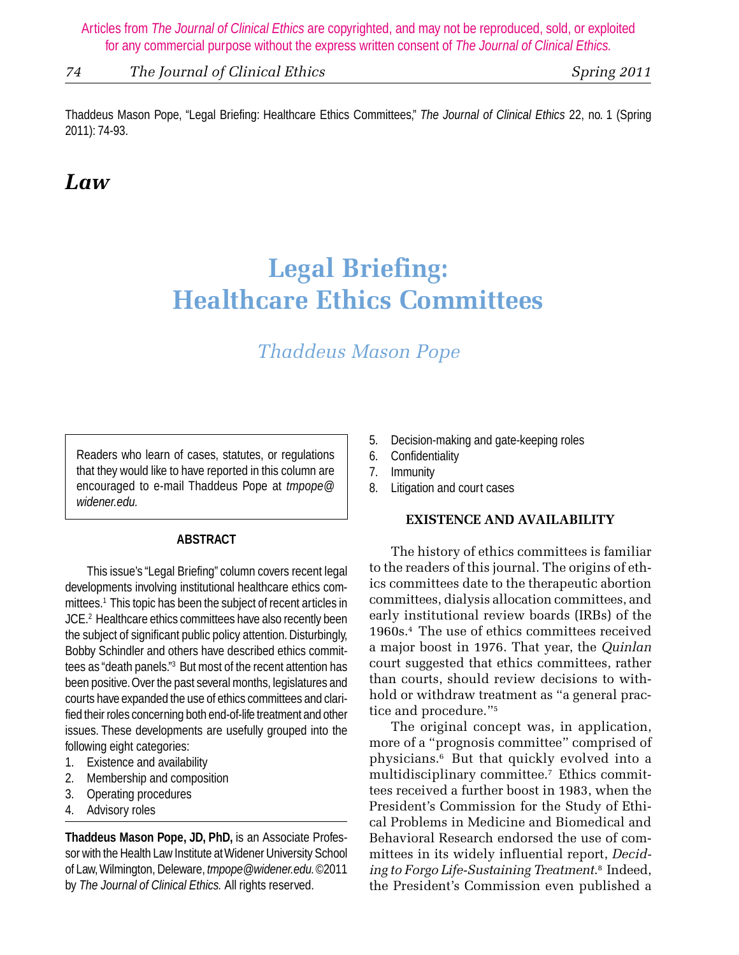*74 The Journal of Clinical Ethics Spring 2011*

Thaddeus Mason Pope, "Legal Briefing: Healthcare Ethics Committees," *The Journal of Clinical Ethics* 22, no. 1 (Spring 2011): 74-93.

# *Law*

# **Legal Briefing: Healthcare Ethics Committees**

# *Thaddeus Mason Pope*

Readers who learn of cases, statutes, or regulations that they would like to have reported in this column are encouraged to e-mail Thaddeus Pope at *tmpope@ widener.edu.*

# **ABSTRACT**

This issue's "Legal Briefing" column covers recent legal developments involving institutional healthcare ethics committees.1 This topic has been the subject of recent articles in JCE.2 Healthcare ethics committees have also recently been the subject of significant public policy attention. Disturbingly, Bobby Schindler and others have described ethics committees as "death panels."3 But most of the recent attention has been positive. Over the past several months, legislatures and courts have expanded the use of ethics committees and clarified their roles concerning both end-of-life treatment and other issues. These developments are usefully grouped into the following eight categories:

- 1. Existence and availability
- 2. Membership and composition
- 3. Operating procedures
- 4. Advisory roles

**Thaddeus Mason Pope, JD, PhD,** is an Associate Professor with the Health Law Institute at Widener University School of Law, Wilmington, Deleware, *tmpope@widener.edu.* ©2011 by *The Journal of Clinical Ethics.* All rights reserved.

- 5. Decision-making and gate-keeping roles
- 6. Confidentiality
- 7. Immunity
- 8. Litigation and court cases

# **EXISTENCE AND AVAILABILITY**

The history of ethics committees is familiar to the readers of this journal. The origins of ethics committees date to the therapeutic abortion committees, dialysis allocation committees, and early institutional review boards (IRBs) of the 1960s.4 The use of ethics committees received a major boost in 1976. That year, the *Quinlan* court suggested that ethics committees, rather than courts, should review decisions to withhold or withdraw treatment as "a general practice and procedure."5

The original concept was, in application, more of a "prognosis committee" comprised of physicians.6 But that quickly evolved into a multidisciplinary committee.7 Ethics committees received a further boost in 1983, when the President's Commission for the Study of Ethical Problems in Medicine and Biomedical and Behavioral Research endorsed the use of committees in its widely influential report, *Deciding to Forgo Life-Sustaining Treatment*. 8 Indeed, the President's Commission even published a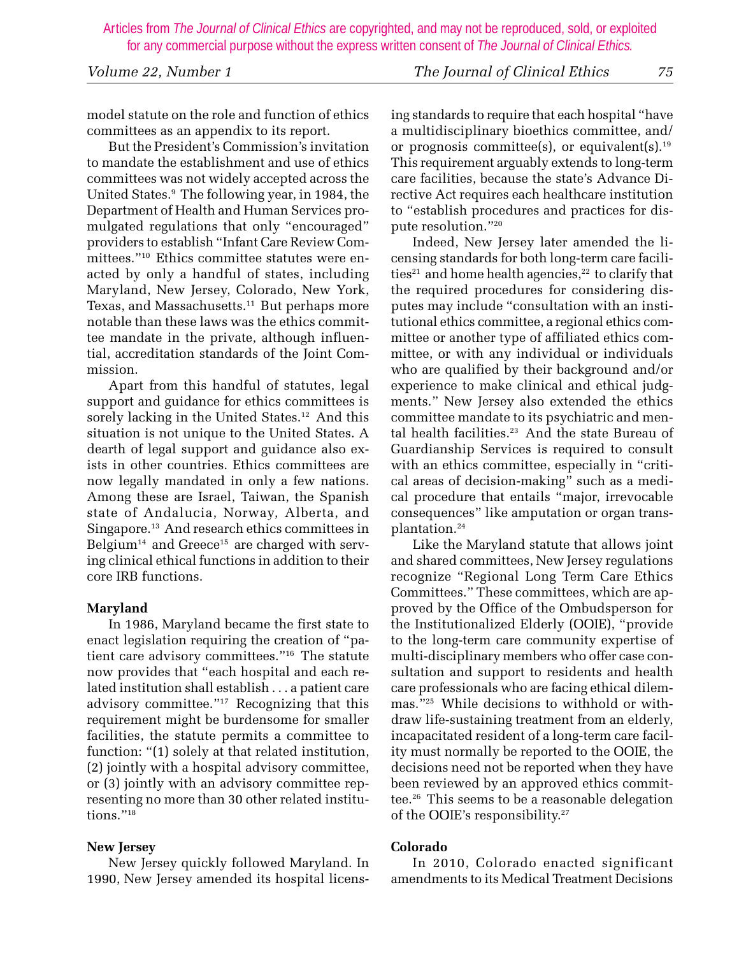model statute on the role and function of ethics committees as an appendix to its report.

But the President's Commission's invitation to mandate the establishment and use of ethics committees was not widely accepted across the United States.9 The following year, in 1984, the Department of Health and Human Services promulgated regulations that only "encouraged" providers to establish "Infant Care Review Committees."10 Ethics committee statutes were enacted by only a handful of states, including Maryland, New Jersey, Colorado, New York, Texas, and Massachusetts.<sup>11</sup> But perhaps more notable than these laws was the ethics committee mandate in the private, although influential, accreditation standards of the Joint Commission.

Apart from this handful of statutes, legal support and guidance for ethics committees is sorely lacking in the United States.<sup>12</sup> And this situation is not unique to the United States. A dearth of legal support and guidance also exists in other countries. Ethics committees are now legally mandated in only a few nations. Among these are Israel, Taiwan, the Spanish state of Andalucia, Norway, Alberta, and Singapore.13 And research ethics committees in Belgium<sup>14</sup> and Greece<sup>15</sup> are charged with serving clinical ethical functions in addition to their core IRB functions.

# **Maryland**

In 1986, Maryland became the first state to enact legislation requiring the creation of "patient care advisory committees."16 The statute now provides that "each hospital and each related institution shall establish . . . a patient care advisory committee."17 Recognizing that this requirement might be burdensome for smaller facilities, the statute permits a committee to function: "(1) solely at that related institution, (2) jointly with a hospital advisory committee, or (3) jointly with an advisory committee representing no more than 30 other related institutions."<sup>18</sup>

#### **New Jersey**

New Jersey quickly followed Maryland. In 1990, New Jersey amended its hospital licensing standards to require that each hospital "have a multidisciplinary bioethics committee, and/ or prognosis committee(s), or equivalent(s).<sup>19</sup> This requirement arguably extends to long-term care facilities, because the state's Advance Directive Act requires each healthcare institution to "establish procedures and practices for dispute resolution."20

Indeed, New Jersey later amended the licensing standards for both long-term care facilities<sup>21</sup> and home health agencies,<sup>22</sup> to clarify that the required procedures for considering disputes may include "consultation with an institutional ethics committee, a regional ethics committee or another type of affiliated ethics committee, or with any individual or individuals who are qualified by their background and/or experience to make clinical and ethical judgments." New Jersey also extended the ethics committee mandate to its psychiatric and mental health facilities.<sup>23</sup> And the state Bureau of Guardianship Services is required to consult with an ethics committee, especially in "critical areas of decision-making" such as a medical procedure that entails "major, irrevocable consequences" like amputation or organ transplantation.24

Like the Maryland statute that allows joint and shared committees, New Jersey regulations recognize "Regional Long Term Care Ethics Committees." These committees, which are approved by the Office of the Ombudsperson for the Institutionalized Elderly (OOIE), "provide to the long-term care community expertise of multi-disciplinary members who offer case consultation and support to residents and health care professionals who are facing ethical dilemmas."25 While decisions to withhold or withdraw life-sustaining treatment from an elderly, incapacitated resident of a long-term care facility must normally be reported to the OOIE, the decisions need not be reported when they have been reviewed by an approved ethics committee.26 This seems to be a reasonable delegation of the OOIE's responsibility.27

# **Colorado**

In 2010, Colorado enacted significant amendments to its Medical Treatment Decisions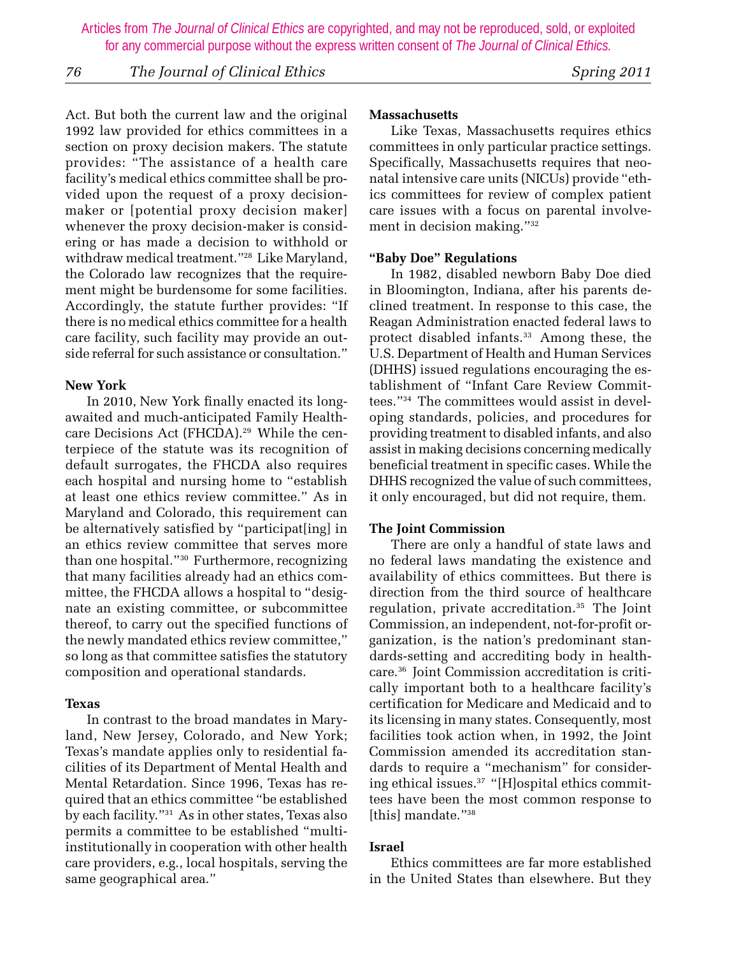*76 The Journal of Clinical Ethics Spring 2011*

Act. But both the current law and the original 1992 law provided for ethics committees in a section on proxy decision makers. The statute provides: "The assistance of a health care facility's medical ethics committee shall be provided upon the request of a proxy decisionmaker or [potential proxy decision maker] whenever the proxy decision-maker is considering or has made a decision to withhold or withdraw medical treatment."28 Like Maryland, the Colorado law recognizes that the requirement might be burdensome for some facilities. Accordingly, the statute further provides: "If there is no medical ethics committee for a health care facility, such facility may provide an outside referral for such assistance or consultation."

#### **New York**

In 2010, New York finally enacted its longawaited and much-anticipated Family Healthcare Decisions Act (FHCDA).<sup>29</sup> While the centerpiece of the statute was its recognition of default surrogates, the FHCDA also requires each hospital and nursing home to "establish at least one ethics review committee." As in Maryland and Colorado, this requirement can be alternatively satisfied by "participat[ing] in an ethics review committee that serves more than one hospital."30 Furthermore, recognizing that many facilities already had an ethics committee, the FHCDA allows a hospital to "designate an existing committee, or subcommittee thereof, to carry out the specified functions of the newly mandated ethics review committee," so long as that committee satisfies the statutory composition and operational standards.

#### **Texas**

In contrast to the broad mandates in Maryland, New Jersey, Colorado, and New York; Texas's mandate applies only to residential facilities of its Department of Mental Health and Mental Retardation. Since 1996, Texas has required that an ethics committee "be established by each facility."31 As in other states, Texas also permits a committee to be established "multiinstitutionally in cooperation with other health care providers, e.g., local hospitals, serving the same geographical area."

#### **Massachusetts**

Like Texas, Massachusetts requires ethics committees in only particular practice settings. Specifically, Massachusetts requires that neonatal intensive care units (NICUs) provide "ethics committees for review of complex patient care issues with a focus on parental involvement in decision making."32

#### **"Baby Doe" Regulations**

In 1982, disabled newborn Baby Doe died in Bloomington, Indiana, after his parents declined treatment. In response to this case, the Reagan Administration enacted federal laws to protect disabled infants.<sup>33</sup> Among these, the U.S. Department of Health and Human Services (DHHS) issued regulations encouraging the establishment of "Infant Care Review Committees."34 The committees would assist in developing standards, policies, and procedures for providing treatment to disabled infants, and also assist in making decisions concerning medically beneficial treatment in specific cases. While the DHHS recognized the value of such committees, it only encouraged, but did not require, them.

#### **The Joint Commission**

There are only a handful of state laws and no federal laws mandating the existence and availability of ethics committees. But there is direction from the third source of healthcare regulation, private accreditation.<sup>35</sup> The Joint Commission, an independent, not-for-profit organization, is the nation's predominant standards-setting and accrediting body in healthcare.36 Joint Commission accreditation is critically important both to a healthcare facility's certification for Medicare and Medicaid and to its licensing in many states. Consequently, most facilities took action when, in 1992, the Joint Commission amended its accreditation standards to require a "mechanism" for considering ethical issues.<sup>37</sup> "[H]ospital ethics committees have been the most common response to [this] mandate."<sup>38</sup>

#### **Israel**

Ethics committees are far more established in the United States than elsewhere. But they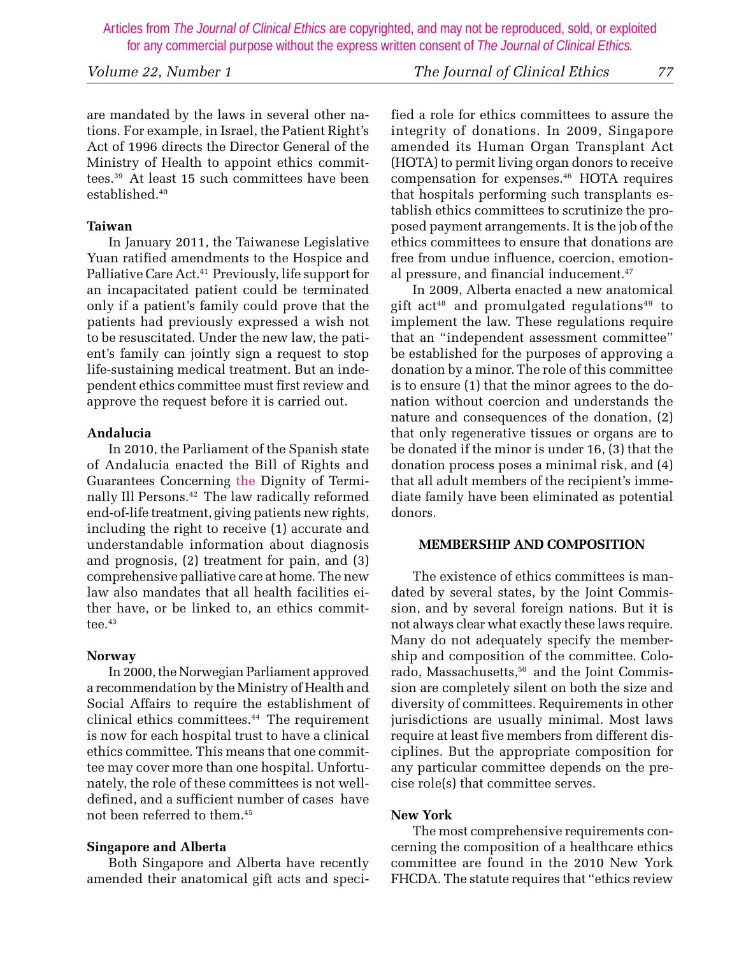are mandated by the laws in several other nations. For example, in Israel, the Patient Right's Act of 1996 directs the Director General of the Ministry of Health to appoint ethics committees.39 At least 15 such committees have been established.40

# **Taiwan**

In January 2011, the Taiwanese Legislative Yuan ratified amendments to the Hospice and Palliative Care Act.<sup>41</sup> Previously, life support for an incapacitated patient could be terminated only if a patient's family could prove that the patients had previously expressed a wish not to be resuscitated. Under the new law, the patient's family can jointly sign a request to stop life-sustaining medical treatment. But an independent ethics committee must first review and approve the request before it is carried out.

#### **Andalucia**

In 2010, the Parliament of the Spanish state of Andalucia enacted the Bill of Rights and Guarantees Concerning the Dignity of Terminally Ill Persons.42 The law radically reformed end-of-life treatment, giving patients new rights, including the right to receive (1) accurate and understandable information about diagnosis and prognosis, (2) treatment for pain, and (3) comprehensive palliative care at home. The new law also mandates that all health facilities either have, or be linked to, an ethics committee. $43$ 

# **Norway**

In 2000, the Norwegian Parliament approved a recommendation by the Ministry of Health and Social Affairs to require the establishment of clinical ethics committees.44 The requirement is now for each hospital trust to have a clinical ethics committee. This means that one committee may cover more than one hospital. Unfortunately, the role of these committees is not welldefined, and a sufficient number of cases have not been referred to them.45

# **Singapore and Alberta**

Both Singapore and Alberta have recently amended their anatomical gift acts and speci-

fied a role for ethics committees to assure the integrity of donations. In 2009, Singapore amended its Human Organ Transplant Act (HOTA) to permit living organ donors to receive compensation for expenses.46 HOTA requires that hospitals performing such transplants establish ethics committees to scrutinize the proposed payment arrangements. It is the job of the ethics committees to ensure that donations are free from undue influence, coercion, emotional pressure, and financial inducement.<sup>47</sup>

In 2009, Alberta enacted a new anatomical gift act<sup>48</sup> and promulgated regulations<sup>49</sup> to implement the law. These regulations require that an "independent assessment committee" be established for the purposes of approving a donation by a minor.The role of this committee is to ensure (1) that the minor agrees to the donation without coercion and understands the nature and consequences of the donation, (2) that only regenerative tissues or organs are to be donated if the minor is under 16, (3) that the donation process poses a minimal risk, and (4) that all adult members of the recipient's immediate family have been eliminated as potential donors.

#### **MEMBERSHIP AND COMPOSITION**

The existence of ethics committees is mandated by several states, by the Joint Commission, and by several foreign nations. But it is not always clear what exactly these laws require. Many do not adequately specify the membership and composition of the committee. Colorado, Massachusetts,50 and the Joint Commission are completely silent on both the size and diversity of committees. Requirements in other jurisdictions are usually minimal. Most laws require at least five members from different disciplines. But the appropriate composition for any particular committee depends on the precise role(s) that committee serves.

# **New York**

The most comprehensive requirements concerning the composition of a healthcare ethics committee are found in the 2010 New York FHCDA. The statute requires that "ethics review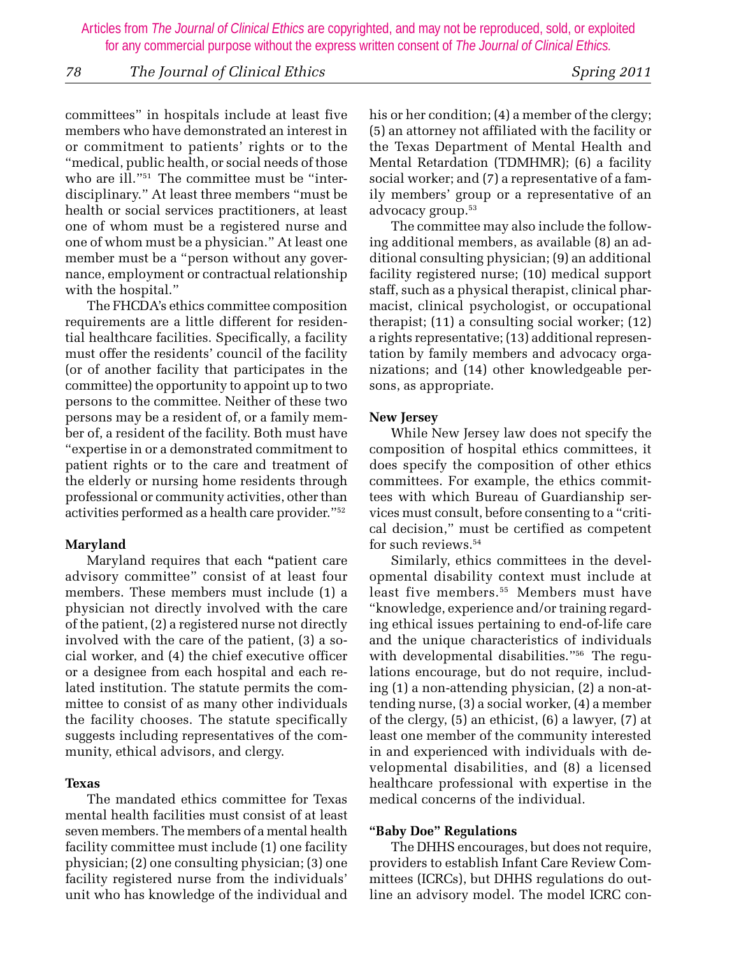### *78 The Journal of Clinical Ethics Spring 2011*

committees" in hospitals include at least five members who have demonstrated an interest in or commitment to patients' rights or to the "medical, public health, or social needs of those who are ill."51 The committee must be "interdisciplinary." At least three members "must be health or social services practitioners, at least one of whom must be a registered nurse and one of whom must be a physician." At least one member must be a "person without any governance, employment or contractual relationship with the hospital."

The FHCDA's ethics committee composition requirements are a little different for residential healthcare facilities. Specifically, a facility must offer the residents' council of the facility (or of another facility that participates in the committee) the opportunity to appoint up to two persons to the committee. Neither of these two persons may be a resident of, or a family member of, a resident of the facility. Both must have "expertise in or a demonstrated commitment to patient rights or to the care and treatment of the elderly or nursing home residents through professional or community activities, other than activities performed as a health care provider."52

#### **Maryland**

Maryland requires that each **"**patient care advisory committee" consist of at least four members. These members must include (1) a physician not directly involved with the care of the patient, (2) a registered nurse not directly involved with the care of the patient, (3) a social worker, and (4) the chief executive officer or a designee from each hospital and each related institution. The statute permits the committee to consist of as many other individuals the facility chooses. The statute specifically suggests including representatives of the community, ethical advisors, and clergy.

#### **Texas**

The mandated ethics committee for Texas mental health facilities must consist of at least seven members. The members of a mental health facility committee must include (1) one facility physician; (2) one consulting physician; (3) one facility registered nurse from the individuals' unit who has knowledge of the individual and

his or her condition; (4) a member of the clergy; (5) an attorney not affiliated with the facility or the Texas Department of Mental Health and Mental Retardation (TDMHMR); (6) a facility social worker; and (7) a representative of a family members' group or a representative of an advocacy group.<sup>53</sup>

The committee may also include the following additional members, as available (8) an additional consulting physician; (9) an additional facility registered nurse; (10) medical support staff, such as a physical therapist, clinical pharmacist, clinical psychologist, or occupational therapist; (11) a consulting social worker; (12) a rights representative; (13) additional representation by family members and advocacy organizations; and (14) other knowledgeable persons, as appropriate.

#### **New Jersey**

While New Jersey law does not specify the composition of hospital ethics committees, it does specify the composition of other ethics committees. For example, the ethics committees with which Bureau of Guardianship services must consult, before consenting to a "critical decision," must be certified as competent for such reviews.54

Similarly, ethics committees in the developmental disability context must include at least five members.55 Members must have "knowledge, experience and/or training regarding ethical issues pertaining to end-of-life care and the unique characteristics of individuals with developmental disabilities."56 The regulations encourage, but do not require, including (1) a non-attending physician, (2) a non-attending nurse, (3) a social worker, (4) a member of the clergy, (5) an ethicist, (6) a lawyer, (7) at least one member of the community interested in and experienced with individuals with developmental disabilities, and (8) a licensed healthcare professional with expertise in the medical concerns of the individual.

#### **"Baby Doe" Regulations**

The DHHS encourages, but does not require, providers to establish Infant Care Review Committees (ICRCs), but DHHS regulations do outline an advisory model. The model ICRC con-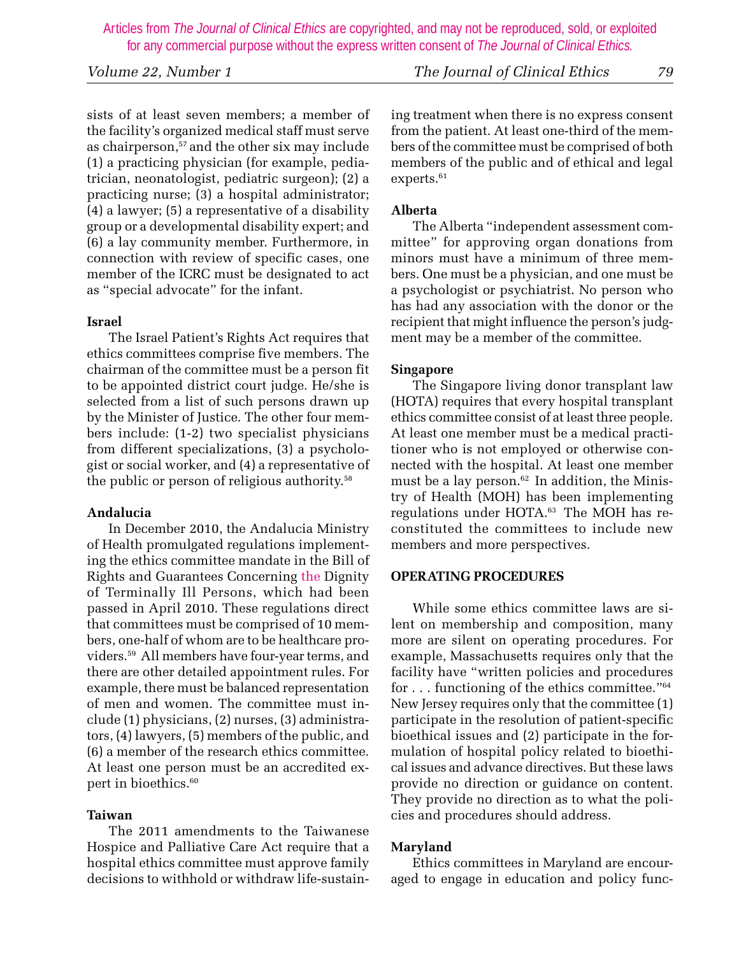*Volume 22, Number 1 The Journal of Clinical Ethics 79*

sists of at least seven members; a member of the facility's organized medical staff must serve as chairperson,<sup>57</sup> and the other six may include (1) a practicing physician (for example, pediatrician, neonatologist, pediatric surgeon); (2) a practicing nurse; (3) a hospital administrator; (4) a lawyer; (5) a representative of a disability group or a developmental disability expert; and (6) a lay community member. Furthermore, in connection with review of specific cases, one member of the ICRC must be designated to act as "special advocate" for the infant.

#### **Israel**

The Israel Patient's Rights Act requires that ethics committees comprise five members. The chairman of the committee must be a person fit to be appointed district court judge. He/she is selected from a list of such persons drawn up by the Minister of Justice. The other four members include: (1-2) two specialist physicians from different specializations, (3) a psychologist or social worker, and (4) a representative of the public or person of religious authority.58

#### **Andalucia**

In December 2010, the Andalucia Ministry of Health promulgated regulations implementing the ethics committee mandate in the Bill of Rights and Guarantees Concerning the Dignity of Terminally Ill Persons, which had been passed in April 2010. These regulations direct that committees must be comprised of 10 members, one-half of whom are to be healthcare providers.59 All members have four-year terms, and there are other detailed appointment rules. For example, there must be balanced representation of men and women. The committee must include (1) physicians, (2) nurses, (3) administrators, (4) lawyers, (5) members of the public, and (6) a member of the research ethics committee. At least one person must be an accredited expert in bioethics.<sup>60</sup>

# **Taiwan**

The 2011 amendments to the Taiwanese Hospice and Palliative Care Act require that a hospital ethics committee must approve family decisions to withhold or withdraw life-sustaining treatment when there is no express consent from the patient. At least one-third of the members of the committee must be comprised of both members of the public and of ethical and legal experts.<sup>61</sup>

# **Alberta**

The Alberta "independent assessment committee" for approving organ donations from minors must have a minimum of three members. One must be a physician, and one must be a psychologist or psychiatrist. No person who has had any association with the donor or the recipient that might influence the person's judgment may be a member of the committee.

# **Singapore**

The Singapore living donor transplant law (HOTA) requires that every hospital transplant ethics committee consist of at least three people. At least one member must be a medical practitioner who is not employed or otherwise connected with the hospital. At least one member must be a lay person.<sup>62</sup> In addition, the Ministry of Health (MOH) has been implementing regulations under HOTA.<sup>63</sup> The MOH has reconstituted the committees to include new members and more perspectives.

# **OPERATING PROCEDURES**

While some ethics committee laws are silent on membership and composition, many more are silent on operating procedures. For example, Massachusetts requires only that the facility have "written policies and procedures for . . . functioning of the ethics committee."64 New Jersey requires only that the committee (1) participate in the resolution of patient-specific bioethical issues and (2) participate in the formulation of hospital policy related to bioethical issues and advance directives. But these laws provide no direction or guidance on content. They provide no direction as to what the policies and procedures should address.

# **Maryland**

Ethics committees in Maryland are encouraged to engage in education and policy func-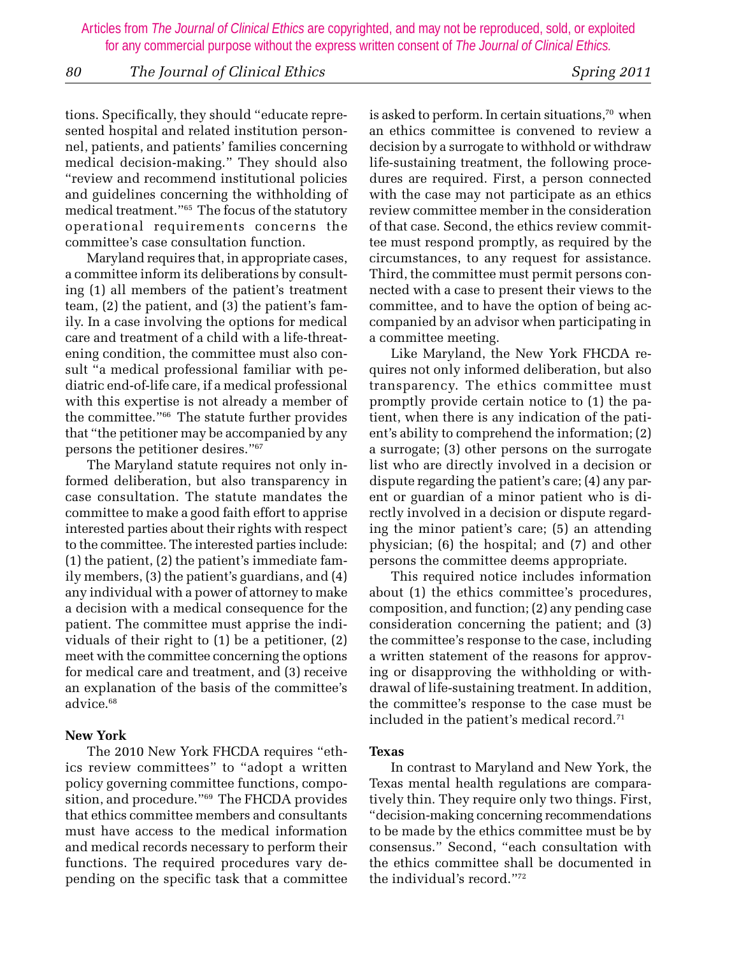### *80 The Journal of Clinical Ethics Spring 2011*

tions. Specifically, they should "educate represented hospital and related institution personnel, patients, and patients' families concerning medical decision-making." They should also "review and recommend institutional policies and guidelines concerning the withholding of medical treatment."65 The focus of the statutory operational requirements concerns the committee's case consultation function.

Maryland requires that, in appropriate cases, a committee inform its deliberations by consulting (1) all members of the patient's treatment team, (2) the patient, and (3) the patient's family. In a case involving the options for medical care and treatment of a child with a life-threatening condition, the committee must also consult "a medical professional familiar with pediatric end-of-life care, if a medical professional with this expertise is not already a member of the committee."66 The statute further provides that "the petitioner may be accompanied by any persons the petitioner desires."67

The Maryland statute requires not only informed deliberation, but also transparency in case consultation. The statute mandates the committee to make a good faith effort to apprise interested parties about their rights with respect to the committee. The interested parties include: (1) the patient, (2) the patient's immediate family members, (3) the patient's guardians, and (4) any individual with a power of attorney to make a decision with a medical consequence for the patient. The committee must apprise the individuals of their right to (1) be a petitioner, (2) meet with the committee concerning the options for medical care and treatment, and (3) receive an explanation of the basis of the committee's advice.<sup>68</sup>

#### **New York**

The 2010 New York FHCDA requires "ethics review committees" to "adopt a written policy governing committee functions, composition, and procedure."69 The FHCDA provides that ethics committee members and consultants must have access to the medical information and medical records necessary to perform their functions. The required procedures vary depending on the specific task that a committee

is asked to perform. In certain situations,<sup>70</sup> when an ethics committee is convened to review a decision by a surrogate to withhold or withdraw life-sustaining treatment, the following procedures are required. First, a person connected with the case may not participate as an ethics review committee member in the consideration of that case. Second, the ethics review committee must respond promptly, as required by the circumstances, to any request for assistance. Third, the committee must permit persons connected with a case to present their views to the committee, and to have the option of being accompanied by an advisor when participating in a committee meeting.

Like Maryland, the New York FHCDA requires not only informed deliberation, but also transparency. The ethics committee must promptly provide certain notice to (1) the patient, when there is any indication of the patient's ability to comprehend the information; (2) a surrogate; (3) other persons on the surrogate list who are directly involved in a decision or dispute regarding the patient's care; (4) any parent or guardian of a minor patient who is directly involved in a decision or dispute regarding the minor patient's care; (5) an attending physician; (6) the hospital; and (7) and other persons the committee deems appropriate.

This required notice includes information about (1) the ethics committee's procedures, composition, and function; (2) any pending case consideration concerning the patient; and (3) the committee's response to the case, including a written statement of the reasons for approving or disapproving the withholding or withdrawal of life-sustaining treatment. In addition, the committee's response to the case must be included in the patient's medical record.<sup>71</sup>

#### **Texas**

In contrast to Maryland and New York, the Texas mental health regulations are comparatively thin. They require only two things. First, "decision-making concerning recommendations to be made by the ethics committee must be by consensus." Second, "each consultation with the ethics committee shall be documented in the individual's record."72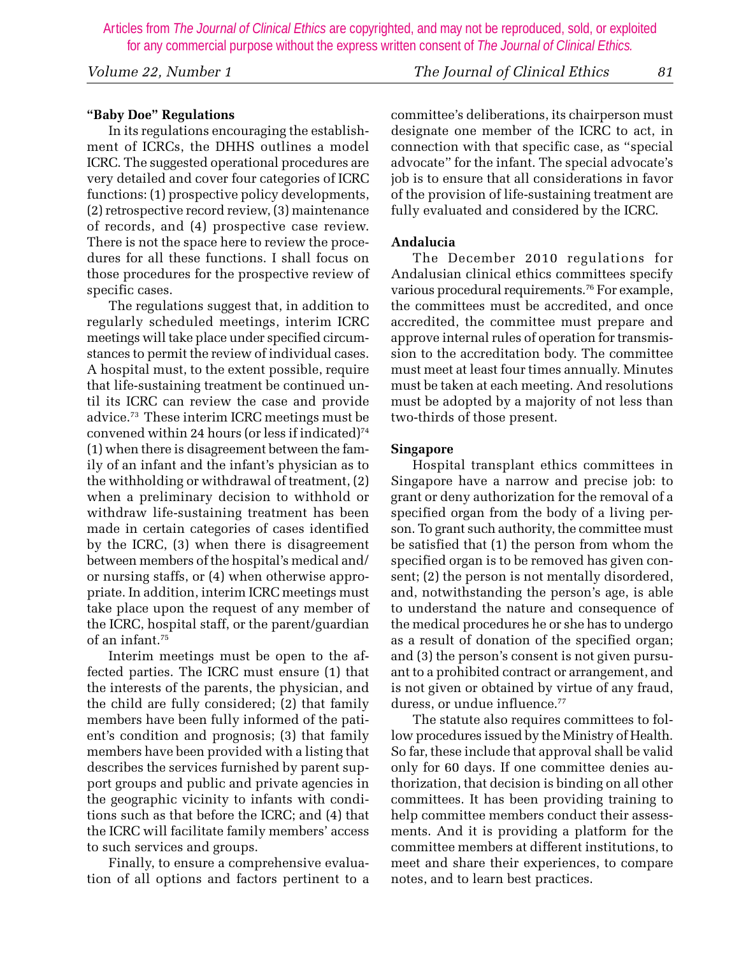*Volume 22, Number 1 The Journal of Clinical Ethics 81*

# **"Baby Doe" Regulations**

In its regulations encouraging the establishment of ICRCs, the DHHS outlines a model ICRC. The suggested operational procedures are very detailed and cover four categories of ICRC functions: (1) prospective policy developments, (2) retrospective record review, (3) maintenance of records, and (4) prospective case review. There is not the space here to review the procedures for all these functions. I shall focus on those procedures for the prospective review of specific cases.

The regulations suggest that, in addition to regularly scheduled meetings, interim ICRC meetings will take place under specified circumstances to permit the review of individual cases. A hospital must, to the extent possible, require that life-sustaining treatment be continued until its ICRC can review the case and provide advice.73 These interim ICRC meetings must be convened within 24 hours (or less if indicated)<sup>74</sup> (1) when there is disagreement between the family of an infant and the infant's physician as to the withholding or withdrawal of treatment, (2) when a preliminary decision to withhold or withdraw life-sustaining treatment has been made in certain categories of cases identified by the ICRC, (3) when there is disagreement between members of the hospital's medical and/ or nursing staffs, or (4) when otherwise appropriate. In addition, interim ICRC meetings must take place upon the request of any member of the ICRC, hospital staff, or the parent/guardian of an infant.75

Interim meetings must be open to the affected parties. The ICRC must ensure (1) that the interests of the parents, the physician, and the child are fully considered; (2) that family members have been fully informed of the patient's condition and prognosis; (3) that family members have been provided with a listing that describes the services furnished by parent support groups and public and private agencies in the geographic vicinity to infants with conditions such as that before the ICRC; and (4) that the ICRC will facilitate family members' access to such services and groups.

Finally, to ensure a comprehensive evaluation of all options and factors pertinent to a

committee's deliberations, its chairperson must designate one member of the ICRC to act, in connection with that specific case, as "special advocate" for the infant. The special advocate's job is to ensure that all considerations in favor of the provision of life-sustaining treatment are fully evaluated and considered by the ICRC.

#### **Andalucia**

The December 2010 regulations for Andalusian clinical ethics committees specify various procedural requirements.<sup>76</sup> For example, the committees must be accredited, and once accredited, the committee must prepare and approve internal rules of operation for transmission to the accreditation body. The committee must meet at least four times annually. Minutes must be taken at each meeting. And resolutions must be adopted by a majority of not less than two-thirds of those present.

#### **Singapore**

Hospital transplant ethics committees in Singapore have a narrow and precise job: to grant or deny authorization for the removal of a specified organ from the body of a living person. To grant such authority, the committee must be satisfied that (1) the person from whom the specified organ is to be removed has given consent; (2) the person is not mentally disordered, and, notwithstanding the person's age, is able to understand the nature and consequence of the medical procedures he or she has to undergo as a result of donation of the specified organ; and (3) the person's consent is not given pursuant to a prohibited contract or arrangement, and is not given or obtained by virtue of any fraud, duress, or undue influence.<sup>77</sup>

The statute also requires committees to follow procedures issued by the Ministry of Health. So far, these include that approval shall be valid only for 60 days. If one committee denies authorization, that decision is binding on all other committees. It has been providing training to help committee members conduct their assessments. And it is providing a platform for the committee members at different institutions, to meet and share their experiences, to compare notes, and to learn best practices.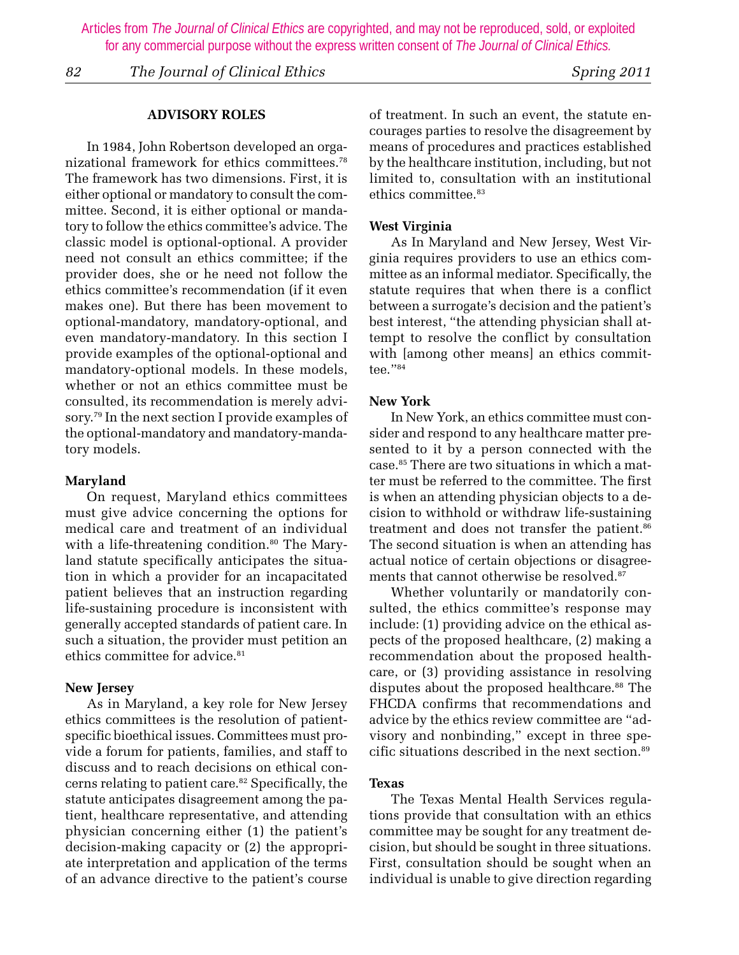*82 The Journal of Clinical Ethics Spring 2011*

#### **ADVISORY ROLES**

In 1984, John Robertson developed an organizational framework for ethics committees.78 The framework has two dimensions. First, it is either optional or mandatory to consult the committee. Second, it is either optional or mandatory to follow the ethics committee's advice. The classic model is optional-optional. A provider need not consult an ethics committee; if the provider does, she or he need not follow the ethics committee's recommendation (if it even makes one). But there has been movement to optional-mandatory, mandatory-optional, and even mandatory-mandatory. In this section I provide examples of the optional-optional and mandatory-optional models. In these models, whether or not an ethics committee must be consulted, its recommendation is merely advisory.79 In the next section I provide examples of the optional-mandatory and mandatory-mandatory models.

#### **Maryland**

On request, Maryland ethics committees must give advice concerning the options for medical care and treatment of an individual with a life-threatening condition.<sup>80</sup> The Maryland statute specifically anticipates the situation in which a provider for an incapacitated patient believes that an instruction regarding life-sustaining procedure is inconsistent with generally accepted standards of patient care. In such a situation, the provider must petition an ethics committee for advice.<sup>81</sup>

#### **New Jersey**

As in Maryland, a key role for New Jersey ethics committees is the resolution of patientspecific bioethical issues. Committees must provide a forum for patients, families, and staff to discuss and to reach decisions on ethical concerns relating to patient care.<sup>82</sup> Specifically, the statute anticipates disagreement among the patient, healthcare representative, and attending physician concerning either (1) the patient's decision-making capacity or (2) the appropriate interpretation and application of the terms of an advance directive to the patient's course

of treatment. In such an event, the statute encourages parties to resolve the disagreement by means of procedures and practices established by the healthcare institution, including, but not limited to, consultation with an institutional ethics committee.<sup>83</sup>

#### **West Virginia**

As In Maryland and New Jersey, West Virginia requires providers to use an ethics committee as an informal mediator. Specifically, the statute requires that when there is a conflict between a surrogate's decision and the patient's best interest, "the attending physician shall attempt to resolve the conflict by consultation with [among other means] an ethics committee."84

#### **New York**

In New York, an ethics committee must consider and respond to any healthcare matter presented to it by a person connected with the case.85 There are two situations in which a matter must be referred to the committee. The first is when an attending physician objects to a decision to withhold or withdraw life-sustaining treatment and does not transfer the patient.<sup>86</sup> The second situation is when an attending has actual notice of certain objections or disagreements that cannot otherwise be resolved.87

Whether voluntarily or mandatorily consulted, the ethics committee's response may include: (1) providing advice on the ethical aspects of the proposed healthcare, (2) making a recommendation about the proposed healthcare, or (3) providing assistance in resolving disputes about the proposed healthcare.<sup>88</sup> The FHCDA confirms that recommendations and advice by the ethics review committee are "advisory and nonbinding," except in three specific situations described in the next section.89

#### **Texas**

The Texas Mental Health Services regulations provide that consultation with an ethics committee may be sought for any treatment decision, but should be sought in three situations. First, consultation should be sought when an individual is unable to give direction regarding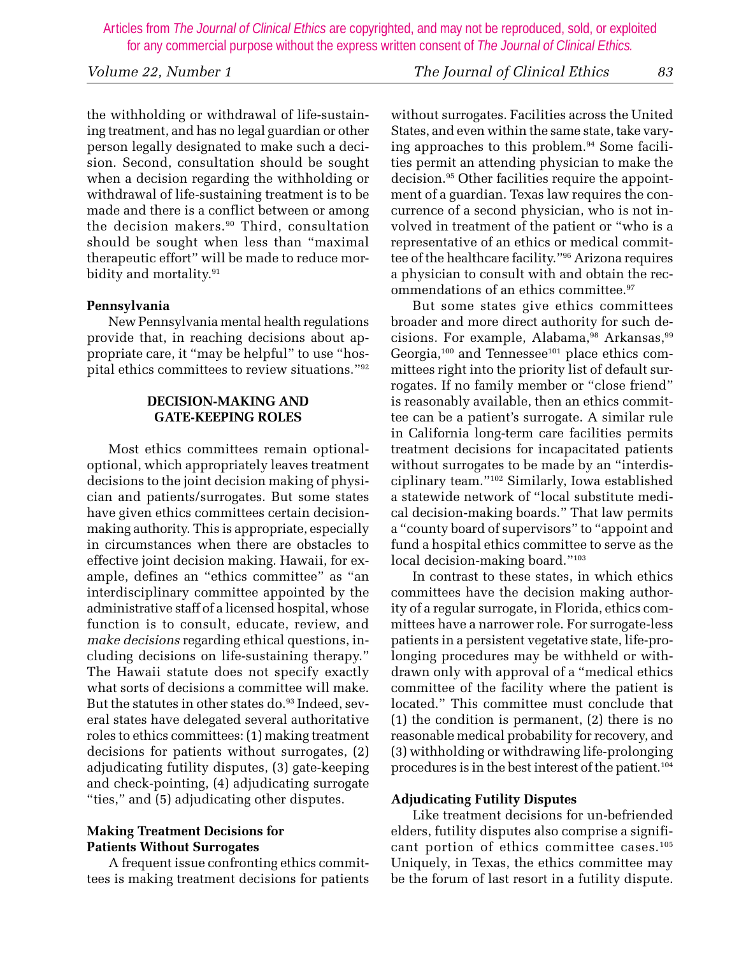the withholding or withdrawal of life-sustaining treatment, and has no legal guardian or other person legally designated to make such a decision. Second, consultation should be sought when a decision regarding the withholding or withdrawal of life-sustaining treatment is to be made and there is a conflict between or among the decision makers.<sup>90</sup> Third, consultation should be sought when less than "maximal therapeutic effort" will be made to reduce morbidity and mortality.<sup>91</sup>

# **Pennsylvania**

New Pennsylvania mental health regulations provide that, in reaching decisions about appropriate care, it "may be helpful" to use "hospital ethics committees to review situations."92

# **DECISION-MAKING AND GATE-KEEPING ROLES**

Most ethics committees remain optionaloptional, which appropriately leaves treatment decisions to the joint decision making of physician and patients/surrogates. But some states have given ethics committees certain decisionmaking authority. This is appropriate, especially in circumstances when there are obstacles to effective joint decision making. Hawaii, for example, defines an "ethics committee" as "an interdisciplinary committee appointed by the administrative staff of a licensed hospital, whose function is to consult, educate, review, and *make decisions* regarding ethical questions, including decisions on life-sustaining therapy." The Hawaii statute does not specify exactly what sorts of decisions a committee will make. But the statutes in other states do.<sup>93</sup> Indeed, several states have delegated several authoritative roles to ethics committees: (1) making treatment decisions for patients without surrogates, (2) adjudicating futility disputes, (3) gate-keeping and check-pointing, (4) adjudicating surrogate "ties," and (5) adjudicating other disputes.

# **Making Treatment Decisions for Patients Without Surrogates**

A frequent issue confronting ethics committees is making treatment decisions for patients without surrogates. Facilities across the United States, and even within the same state, take varying approaches to this problem.<sup>94</sup> Some facilities permit an attending physician to make the decision.95 Other facilities require the appointment of a guardian. Texas law requires the concurrence of a second physician, who is not involved in treatment of the patient or "who is a representative of an ethics or medical committee of the healthcare facility."96 Arizona requires a physician to consult with and obtain the recommendations of an ethics committee.<sup>97</sup>

But some states give ethics committees broader and more direct authority for such decisions. For example, Alabama,<sup>98</sup> Arkansas,<sup>99</sup> Georgia,<sup>100</sup> and Tennessee<sup>101</sup> place ethics committees right into the priority list of default surrogates. If no family member or "close friend" is reasonably available, then an ethics committee can be a patient's surrogate. A similar rule in California long-term care facilities permits treatment decisions for incapacitated patients without surrogates to be made by an "interdisciplinary team."102 Similarly, Iowa established a statewide network of "local substitute medical decision-making boards." That law permits a "county board of supervisors" to "appoint and fund a hospital ethics committee to serve as the local decision-making board."<sup>103</sup>

In contrast to these states, in which ethics committees have the decision making authority of a regular surrogate, in Florida, ethics committees have a narrower role. For surrogate-less patients in a persistent vegetative state, life-prolonging procedures may be withheld or withdrawn only with approval of a "medical ethics committee of the facility where the patient is located." This committee must conclude that (1) the condition is permanent, (2) there is no reasonable medical probability for recovery, and (3) withholding or withdrawing life-prolonging procedures is in the best interest of the patient.104

#### **Adjudicating Futility Disputes**

Like treatment decisions for un-befriended elders, futility disputes also comprise a significant portion of ethics committee cases.105 Uniquely, in Texas, the ethics committee may be the forum of last resort in a futility dispute.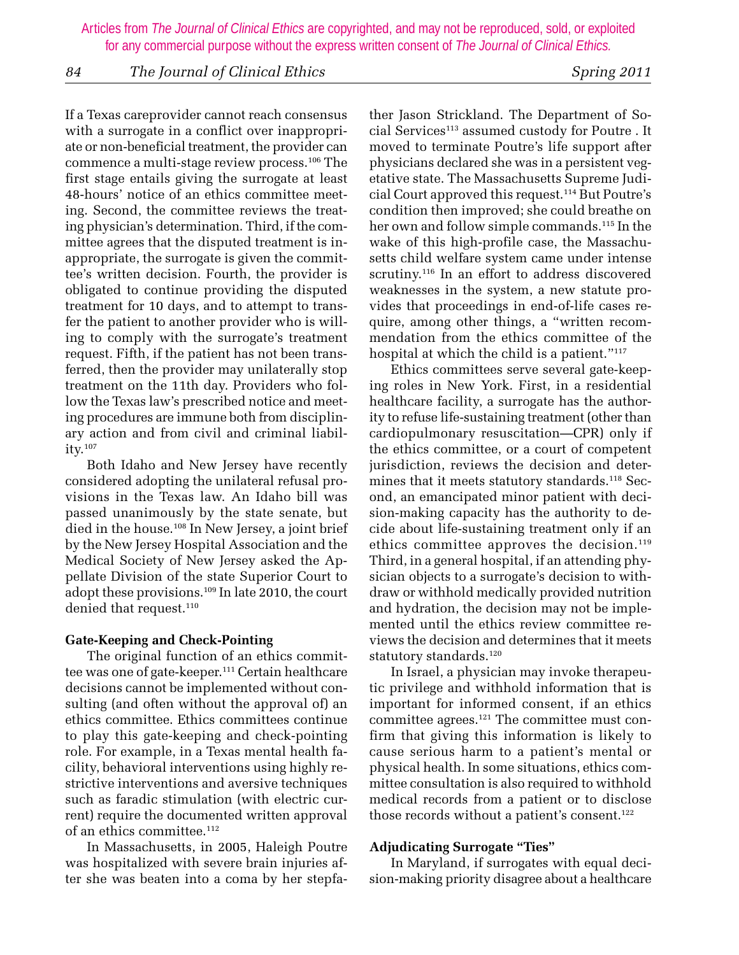# *84 The Journal of Clinical Ethics Spring 2011*

If a Texas careprovider cannot reach consensus with a surrogate in a conflict over inappropriate or non-beneficial treatment, the provider can commence a multi-stage review process.106 The first stage entails giving the surrogate at least 48-hours' notice of an ethics committee meeting. Second, the committee reviews the treating physician's determination. Third, if the committee agrees that the disputed treatment is inappropriate, the surrogate is given the committee's written decision. Fourth, the provider is obligated to continue providing the disputed treatment for 10 days, and to attempt to transfer the patient to another provider who is willing to comply with the surrogate's treatment request. Fifth, if the patient has not been transferred, then the provider may unilaterally stop treatment on the 11th day. Providers who follow the Texas law's prescribed notice and meeting procedures are immune both from disciplinary action and from civil and criminal liability.107

Both Idaho and New Jersey have recently considered adopting the unilateral refusal provisions in the Texas law. An Idaho bill was passed unanimously by the state senate, but died in the house.<sup>108</sup> In New Jersey, a joint brief by the New Jersey Hospital Association and the Medical Society of New Jersey asked the Appellate Division of the state Superior Court to adopt these provisions.109 In late 2010, the court denied that request.<sup>110</sup>

# **Gate-Keeping and Check-Pointing**

The original function of an ethics committee was one of gate-keeper.111 Certain healthcare decisions cannot be implemented without consulting (and often without the approval of) an ethics committee. Ethics committees continue to play this gate-keeping and check-pointing role. For example, in a Texas mental health facility, behavioral interventions using highly restrictive interventions and aversive techniques such as faradic stimulation (with electric current) require the documented written approval of an ethics committee.<sup>112</sup>

In Massachusetts, in 2005, Haleigh Poutre was hospitalized with severe brain injuries after she was beaten into a coma by her stepfather Jason Strickland. The Department of Social Services<sup>113</sup> assumed custody for Poutre. It moved to terminate Poutre's life support after physicians declared she was in a persistent vegetative state. The Massachusetts Supreme Judicial Court approved this request.114 But Poutre's condition then improved; she could breathe on her own and follow simple commands.<sup>115</sup> In the wake of this high-profile case, the Massachusetts child welfare system came under intense scrutiny.<sup>116</sup> In an effort to address discovered weaknesses in the system, a new statute provides that proceedings in end-of-life cases require, among other things, a "written recommendation from the ethics committee of the hospital at which the child is a patient."<sup>117</sup>

Ethics committees serve several gate-keeping roles in New York. First, in a residential healthcare facility, a surrogate has the authority to refuse life-sustaining treatment (other than cardiopulmonary resuscitation—CPR) only if the ethics committee, or a court of competent jurisdiction, reviews the decision and determines that it meets statutory standards.<sup>118</sup> Second, an emancipated minor patient with decision-making capacity has the authority to decide about life-sustaining treatment only if an ethics committee approves the decision.<sup>119</sup> Third, in a general hospital, if an attending physician objects to a surrogate's decision to withdraw or withhold medically provided nutrition and hydration, the decision may not be implemented until the ethics review committee reviews the decision and determines that it meets statutory standards.<sup>120</sup>

In Israel, a physician may invoke therapeutic privilege and withhold information that is important for informed consent, if an ethics committee agrees.<sup>121</sup> The committee must confirm that giving this information is likely to cause serious harm to a patient's mental or physical health. In some situations, ethics committee consultation is also required to withhold medical records from a patient or to disclose those records without a patient's consent.<sup>122</sup>

# **Adjudicating Surrogate "Ties"**

In Maryland, if surrogates with equal decision-making priority disagree about a healthcare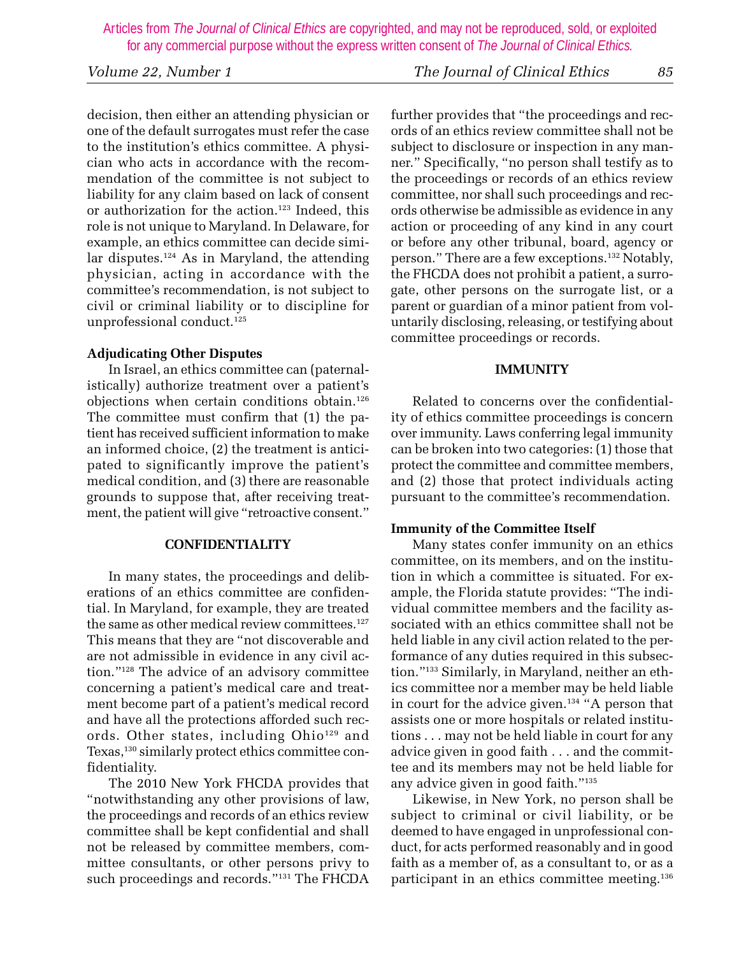decision, then either an attending physician or one of the default surrogates must refer the case to the institution's ethics committee. A physician who acts in accordance with the recommendation of the committee is not subject to liability for any claim based on lack of consent or authorization for the action.<sup>123</sup> Indeed, this role is not unique to Maryland. In Delaware, for example, an ethics committee can decide similar disputes.124 As in Maryland, the attending physician, acting in accordance with the committee's recommendation, is not subject to civil or criminal liability or to discipline for unprofessional conduct.<sup>125</sup>

# **Adjudicating Other Disputes**

In Israel, an ethics committee can (paternalistically) authorize treatment over a patient's objections when certain conditions obtain.126 The committee must confirm that (1) the patient has received sufficient information to make an informed choice, (2) the treatment is anticipated to significantly improve the patient's medical condition, and (3) there are reasonable grounds to suppose that, after receiving treatment, the patient will give "retroactive consent."

# **CONFIDENTIALITY**

In many states, the proceedings and deliberations of an ethics committee are confidential. In Maryland, for example, they are treated the same as other medical review committees.<sup>127</sup> This means that they are "not discoverable and are not admissible in evidence in any civil action."128 The advice of an advisory committee concerning a patient's medical care and treatment become part of a patient's medical record and have all the protections afforded such records. Other states, including Ohio<sup>129</sup> and Texas,130 similarly protect ethics committee confidentiality.

The 2010 New York FHCDA provides that "notwithstanding any other provisions of law, the proceedings and records of an ethics review committee shall be kept confidential and shall not be released by committee members, committee consultants, or other persons privy to such proceedings and records."131 The FHCDA

further provides that "the proceedings and records of an ethics review committee shall not be subject to disclosure or inspection in any manner." Specifically, "no person shall testify as to the proceedings or records of an ethics review committee, nor shall such proceedings and records otherwise be admissible as evidence in any action or proceeding of any kind in any court or before any other tribunal, board, agency or person." There are a few exceptions.132 Notably, the FHCDA does not prohibit a patient, a surrogate, other persons on the surrogate list, or a parent or guardian of a minor patient from voluntarily disclosing, releasing, or testifying about committee proceedings or records.

# **IMMUNITY**

Related to concerns over the confidentiality of ethics committee proceedings is concern over immunity. Laws conferring legal immunity can be broken into two categories: (1) those that protect the committee and committee members, and (2) those that protect individuals acting pursuant to the committee's recommendation.

# **Immunity of the Committee Itself**

Many states confer immunity on an ethics committee, on its members, and on the institution in which a committee is situated. For example, the Florida statute provides: "The individual committee members and the facility associated with an ethics committee shall not be held liable in any civil action related to the performance of any duties required in this subsection."133 Similarly, in Maryland, neither an ethics committee nor a member may be held liable in court for the advice given.<sup>134</sup> "A person that assists one or more hospitals or related institutions . . . may not be held liable in court for any advice given in good faith . . . and the committee and its members may not be held liable for any advice given in good faith."135

Likewise, in New York, no person shall be subject to criminal or civil liability, or be deemed to have engaged in unprofessional conduct, for acts performed reasonably and in good faith as a member of, as a consultant to, or as a participant in an ethics committee meeting.136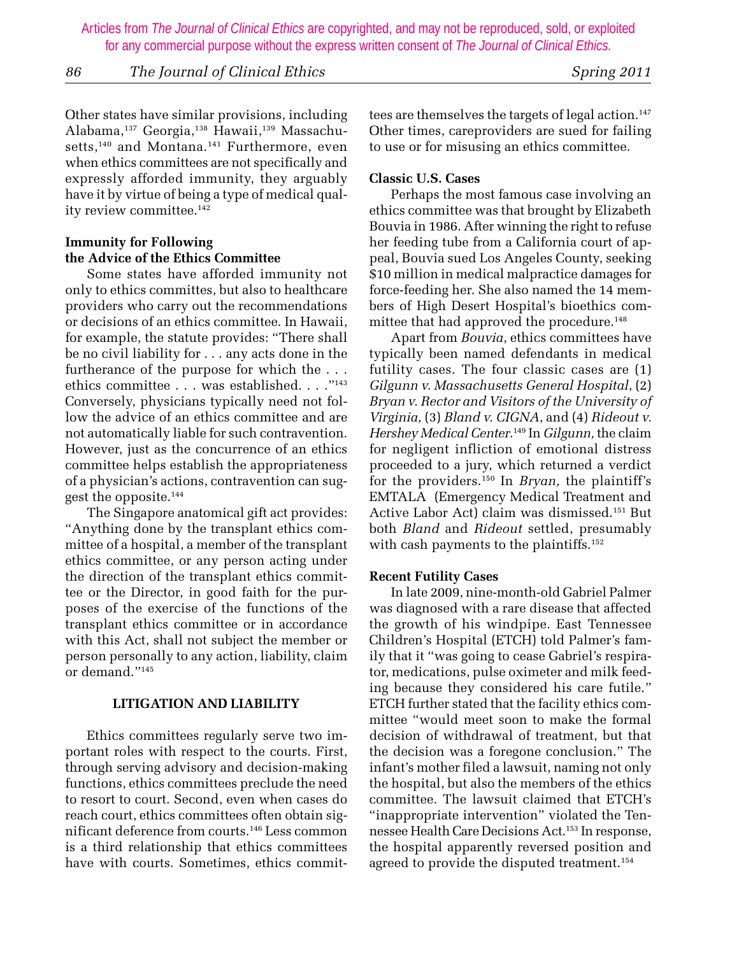*86 The Journal of Clinical Ethics Spring 2011*

Other states have similar provisions, including Alabama,137 Georgia,138 Hawaii,139 Massachusetts,<sup>140</sup> and Montana.<sup>141</sup> Furthermore, even when ethics committees are not specifically and expressly afforded immunity, they arguably have it by virtue of being a type of medical quality review committee.<sup>142</sup>

# **Immunity for Following the Advice of the Ethics Committee**

Some states have afforded immunity not only to ethics committes, but also to healthcare providers who carry out the recommendations or decisions of an ethics committee. In Hawaii, for example, the statute provides: "There shall be no civil liability for . . . any acts done in the furtherance of the purpose for which the . . . ethics committee . . . was established. . . ."143 Conversely, physicians typically need not follow the advice of an ethics committee and are not automatically liable for such contravention. However, just as the concurrence of an ethics committee helps establish the appropriateness of a physician's actions, contravention can suggest the opposite.144

The Singapore anatomical gift act provides: "Anything done by the transplant ethics committee of a hospital, a member of the transplant ethics committee, or any person acting under the direction of the transplant ethics committee or the Director, in good faith for the purposes of the exercise of the functions of the transplant ethics committee or in accordance with this Act, shall not subject the member or person personally to any action, liability, claim or demand."145

# **LITIGATION AND LIABILITY**

Ethics committees regularly serve two important roles with respect to the courts. First, through serving advisory and decision-making functions, ethics committees preclude the need to resort to court. Second, even when cases do reach court, ethics committees often obtain significant deference from courts.146 Less common is a third relationship that ethics committees have with courts. Sometimes, ethics committees are themselves the targets of legal action.<sup>147</sup> Other times, careproviders are sued for failing to use or for misusing an ethics committee.

### **Classic U.S. Cases**

Perhaps the most famous case involving an ethics committee was that brought by Elizabeth Bouvia in 1986. After winning the right to refuse her feeding tube from a California court of appeal, Bouvia sued Los Angeles County, seeking \$10 million in medical malpractice damages for force-feeding her. She also named the 14 members of High Desert Hospital's bioethics committee that had approved the procedure.<sup>148</sup>

Apart from *Bouvia*, ethics committees have typically been named defendants in medical futility cases. The four classic cases are (1) *Gilgunn v. Massachusetts General Hospital*, (2) *Bryan v. Rector and Visitors of the University of Virginia,* (3) *Bland v. CIGNA*, and (4) *Rideout v. Hershey Medical Center*. 149 In *Gilgunn,* the claim for negligent infliction of emotional distress proceeded to a jury, which returned a verdict for the providers.150 In *Bryan,* the plaintiff's EMTALA (Emergency Medical Treatment and Active Labor Act) claim was dismissed.151 But both *Bland* and *Rideout* settled, presumably with cash payments to the plaintiffs.<sup>152</sup>

#### **Recent Futility Cases**

In late 2009, nine-month-old Gabriel Palmer was diagnosed with a rare disease that affected the growth of his windpipe. East Tennessee Children's Hospital (ETCH) told Palmer's family that it "was going to cease Gabriel's respirator, medications, pulse oximeter and milk feeding because they considered his care futile." ETCH further stated that the facility ethics committee "would meet soon to make the formal decision of withdrawal of treatment, but that the decision was a foregone conclusion." The infant's mother filed a lawsuit, naming not only the hospital, but also the members of the ethics committee. The lawsuit claimed that ETCH's "inappropriate intervention" violated the Tennessee Health Care Decisions Act.153 In response, the hospital apparently reversed position and agreed to provide the disputed treatment.<sup>154</sup>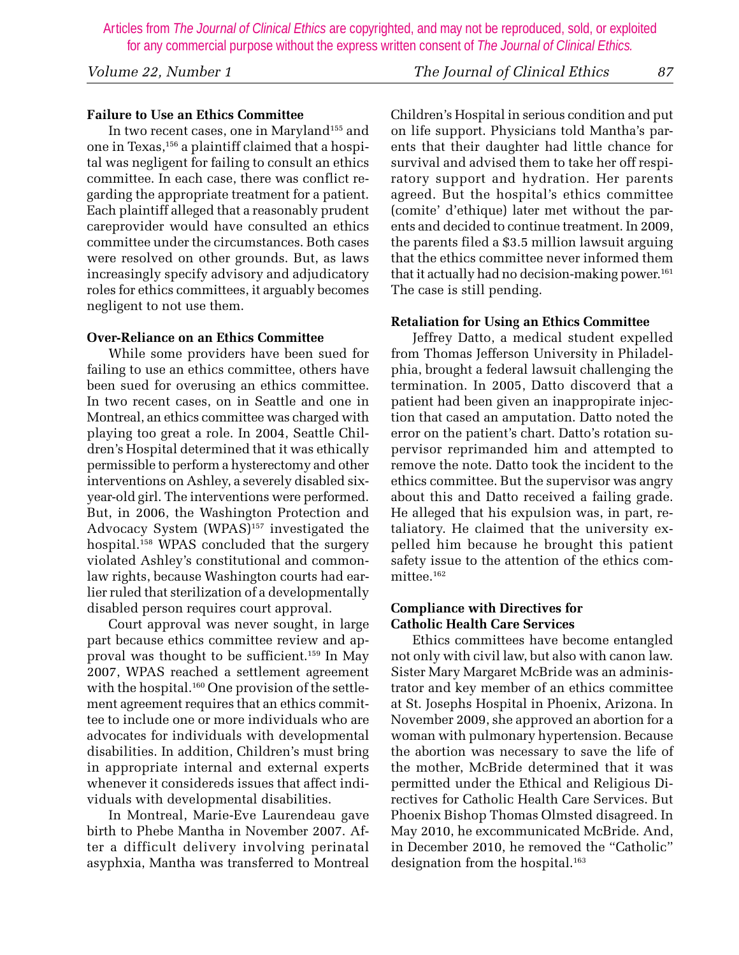# *Volume 22, Number 1 The Journal of Clinical Ethics 87*

# **Failure to Use an Ethics Committee**

In two recent cases, one in Maryland<sup>155</sup> and one in Texas,156 a plaintiff claimed that a hospital was negligent for failing to consult an ethics committee. In each case, there was conflict regarding the appropriate treatment for a patient. Each plaintiff alleged that a reasonably prudent careprovider would have consulted an ethics committee under the circumstances. Both cases were resolved on other grounds. But, as laws increasingly specify advisory and adjudicatory roles for ethics committees, it arguably becomes negligent to not use them.

# **Over-Reliance on an Ethics Committee**

While some providers have been sued for failing to use an ethics committee, others have been sued for overusing an ethics committee. In two recent cases, on in Seattle and one in Montreal, an ethics committee was charged with playing too great a role. In 2004, Seattle Children's Hospital determined that it was ethically permissible to perform a hysterectomy and other interventions on Ashley, a severely disabled sixyear-old girl. The interventions were performed. But, in 2006, the Washington Protection and Advocacy System (WPAS)<sup>157</sup> investigated the hospital.158 WPAS concluded that the surgery violated Ashley's constitutional and commonlaw rights, because Washington courts had earlier ruled that sterilization of a developmentally disabled person requires court approval.

Court approval was never sought, in large part because ethics committee review and approval was thought to be sufficient.159 In May 2007, WPAS reached a settlement agreement with the hospital.<sup>160</sup> One provision of the settlement agreement requires that an ethics committee to include one or more individuals who are advocates for individuals with developmental disabilities. In addition, Children's must bring in appropriate internal and external experts whenever it considereds issues that affect individuals with developmental disabilities.

In Montreal, Marie-Eve Laurendeau gave birth to Phebe Mantha in November 2007. After a difficult delivery involving perinatal asyphxia, Mantha was transferred to Montreal Children's Hospital in serious condition and put on life support. Physicians told Mantha's parents that their daughter had little chance for survival and advised them to take her off respiratory support and hydration. Her parents agreed. But the hospital's ethics committee (comite' d'ethique) later met without the parents and decided to continue treatment. In 2009, the parents filed a \$3.5 million lawsuit arguing that the ethics committee never informed them that it actually had no decision-making power.<sup>161</sup> The case is still pending.

#### **Retaliation for Using an Ethics Committee**

Jeffrey Datto, a medical student expelled from Thomas Jefferson University in Philadelphia, brought a federal lawsuit challenging the termination. In 2005, Datto discoverd that a patient had been given an inappropirate injection that cased an amputation. Datto noted the error on the patient's chart. Datto's rotation supervisor reprimanded him and attempted to remove the note. Datto took the incident to the ethics committee. But the supervisor was angry about this and Datto received a failing grade. He alleged that his expulsion was, in part, retaliatory. He claimed that the university expelled him because he brought this patient safety issue to the attention of the ethics committee.162

#### **Compliance with Directives for Catholic Health Care Services**

Ethics committees have become entangled not only with civil law, but also with canon law. Sister Mary Margaret McBride was an administrator and key member of an ethics committee at St. Josephs Hospital in Phoenix, Arizona. In November 2009, she approved an abortion for a woman with pulmonary hypertension. Because the abortion was necessary to save the life of the mother, McBride determined that it was permitted under the Ethical and Religious Directives for Catholic Health Care Services. But Phoenix Bishop Thomas Olmsted disagreed. In May 2010, he excommunicated McBride. And, in December 2010, he removed the "Catholic" designation from the hospital.<sup>163</sup>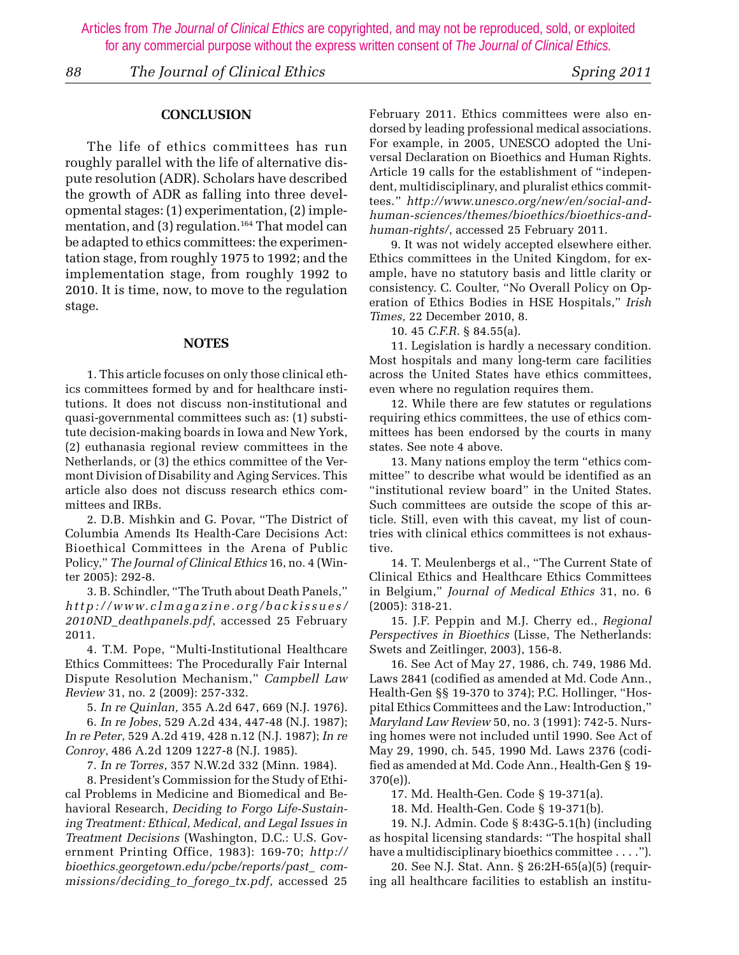*88 The Journal of Clinical Ethics Spring 2011*

#### **CONCLUSION**

The life of ethics committees has run roughly parallel with the life of alternative dispute resolution (ADR). Scholars have described the growth of ADR as falling into three developmental stages: (1) experimentation, (2) implementation, and  $(3)$  regulation.<sup>164</sup> That model can be adapted to ethics committees: the experimentation stage, from roughly 1975 to 1992; and the implementation stage, from roughly 1992 to 2010. It is time, now, to move to the regulation stage.

#### **NOTES**

 1. This article focuses on only those clinical ethics committees formed by and for healthcare institutions. It does not discuss non-institutional and quasi-governmental committees such as: (1) substitute decision-making boards in Iowa and New York, (2) euthanasia regional review committees in the Netherlands, or (3) the ethics committee of the Vermont Division of Disability and Aging Services. This article also does not discuss research ethics committees and IRBs.

 2. D.B. Mishkin and G. Povar, "The District of Columbia Amends Its Health-Care Decisions Act: Bioethical Committees in the Arena of Public Policy," *The Journal of Clinical Ethics* 16, no. 4 (Winter 2005): 292-8.

 3. B. Schindler, "The Truth about Death Panels," *http://www.clmagazine.org/backissues/ 2010ND\_deathpanels.pdf*, accessed 25 February 2011.

 4. T.M. Pope, "Multi-Institutional Healthcare Ethics Committees: The Procedurally Fair Internal Dispute Resolution Mechanism," *Campbell Law Review* 31, no. 2 (2009): 257-332.

5. *In re Quinlan,* 355 A.2d 647, 669 (N.J. 1976).

 6. *In re Jobes*, 529 A.2d 434, 447-48 (N.J. 1987); *In re Peter*, 529 A.2d 419, 428 n.12 (N.J. 1987); *In re Conroy*, 486 A.2d 1209 1227-8 (N.J. 1985).

7. *In re Torres*, 357 N.W.2d 332 (Minn. 1984).

 8. President's Commission for the Study of Ethical Problems in Medicine and Biomedical and Behavioral Research, *Deciding to Forgo Life-Sustaining Treatment: Ethical, Medical, and Legal Issues in Treatment Decisions* (Washington, D.C.: U.S. Government Printing Office, 1983): 169-70; *http:// bioethics.georgetown.edu/pcbe/reports/past\_ commissions/deciding\_to\_forego\_tx.pdf,* accessed 25

February 2011. Ethics committees were also endorsed by leading professional medical associations. For example, in 2005, UNESCO adopted the Universal Declaration on Bioethics and Human Rights. Article 19 calls for the establishment of "independent, multidisciplinary, and pluralist ethics committees." *http://www.unesco.org/new/en/social-andhuman-sciences/themes/bioethics/bioethics-andhuman-rights/*, accessed 25 February 2011.

 9. It was not widely accepted elsewhere either. Ethics committees in the United Kingdom, for example, have no statutory basis and little clarity or consistency. C. Coulter, "No Overall Policy on Operation of Ethics Bodies in HSE Hospitals," *Irish Times,* 22 December 2010, 8.

10. 45 *C.F.R.* § 84.55(a).

 11. Legislation is hardly a necessary condition. Most hospitals and many long-term care facilities across the United States have ethics committees, even where no regulation requires them.

 12. While there are few statutes or regulations requiring ethics committees, the use of ethics committees has been endorsed by the courts in many states. See note 4 above.

 13. Many nations employ the term "ethics committee" to describe what would be identified as an "institutional review board" in the United States. Such committees are outside the scope of this article. Still, even with this caveat, my list of countries with clinical ethics committees is not exhaustive.

 14. T. Meulenbergs et al., "The Current State of Clinical Ethics and Healthcare Ethics Committees in Belgium," *Journal of Medical Ethics* 31, no. 6 (2005): 318-21.

 15. J.F. Peppin and M.J. Cherry ed., *Regional Perspectives in Bioethics* (Lisse, The Netherlands: Swets and Zeitlinger, 2003), 156-8.

 16. See Act of May 27, 1986, ch. 749, 1986 Md. Laws 2841 (codified as amended at Md. Code Ann., Health-Gen §§ 19-370 to 374); P.C. Hollinger, "Hospital Ethics Committees and the Law: Introduction," *Maryland Law Review* 50, no. 3 (1991): 742-5. Nursing homes were not included until 1990. See Act of May 29, 1990, ch. 545, 1990 Md. Laws 2376 (codified as amended at Md. Code Ann., Health-Gen § 19- 370(e)).

17. Md. Health-Gen. Code § 19-371(a).

18. Md. Health-Gen. Code § 19-371(b).

 19. N.J. Admin. Code § 8:43G-5.1(h) (including as hospital licensing standards: "The hospital shall have a multidisciplinary bioethics committee . . . .").

 20. See N.J. Stat. Ann. § 26:2H-65(a)(5) (requiring all healthcare facilities to establish an institu-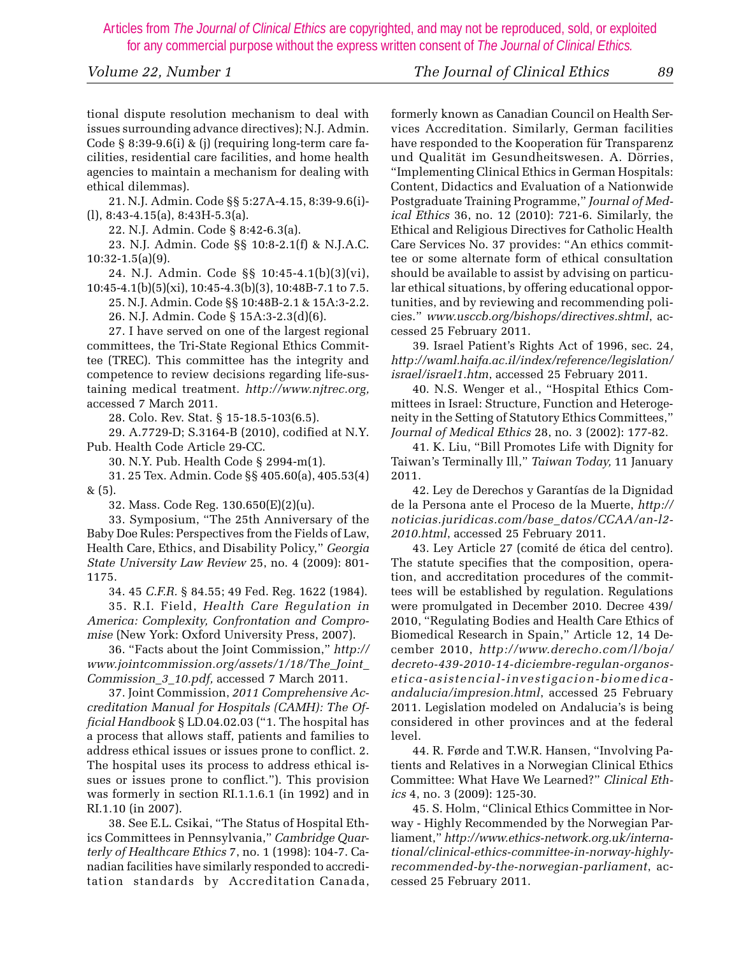*Volume 22, Number 1 The Journal of Clinical Ethics 89*

tional dispute resolution mechanism to deal with issues surrounding advance directives); N.J. Admin. Code § 8:39-9.6(i) & (j) (requiring long-term care facilities, residential care facilities, and home health agencies to maintain a mechanism for dealing with ethical dilemmas).

 21. N.J. Admin. Code §§ 5:27A-4.15, 8:39-9.6(i)- (l), 8:43-4.15(a), 8:43H-5.3(a).

22. N.J. Admin. Code § 8:42-6.3(a).

 23. N.J. Admin. Code §§ 10:8-2.1(f) & N.J.A.C. 10:32-1.5(a)(9).

 24. N.J. Admin. Code §§ 10:45-4.1(b)(3)(vi), 10:45-4.1(b)(5)(xi), 10:45-4.3(b)(3), 10:48B-7.1 to 7.5.

 25. N.J. Admin. Code §§ 10:48B-2.1 & 15A:3-2.2. 26. N.J. Admin. Code § 15A:3-2.3(d)(6).

 27. I have served on one of the largest regional committees, the Tri-State Regional Ethics Committee (TREC). This committee has the integrity and competence to review decisions regarding life-sustaining medical treatment. *http://www.njtrec.org,* accessed 7 March 2011.

28. Colo. Rev. Stat. § 15-18.5-103(6.5).

 29. A.7729-D; S.3164-B (2010), codified at N.Y. Pub. Health Code Article 29-CC.

30. N.Y. Pub. Health Code § 2994-m(1).

 31. 25 Tex. Admin. Code §§ 405.60(a), 405.53(4) & (5).

32. Mass. Code Reg. 130.650(E)(2)(u).

 33. Symposium, "The 25th Anniversary of the Baby Doe Rules: Perspectives from the Fields of Law, Health Care, Ethics, and Disability Policy," *Georgia State University Law Review* 25, no. 4 (2009): 801- 1175.

34. 45 *C.F.R.* § 84.55; 49 Fed. Reg. 1622 (1984).

 35. R.I. Field, *Health Care Regulation in America: Complexity, Confrontation and Compromise* (New York: Oxford University Press, 2007).

 36. "Facts about the Joint Commission," *http:// www.jointcommission.org/assets/1/18/The\_Joint\_ Commission\_3\_10.pdf,* accessed 7 March 2011.

 37. Joint Commission, *2011 Comprehensive Accreditation Manual for Hospitals (CAMH): The Official Handbook* § LD.04.02.03 ("1. The hospital has a process that allows staff, patients and families to address ethical issues or issues prone to conflict. 2. The hospital uses its process to address ethical issues or issues prone to conflict."). This provision was formerly in section RI.1.1.6.1 (in 1992) and in RI.1.10 (in 2007).

 38. See E.L. Csikai, "The Status of Hospital Ethics Committees in Pennsylvania," *Cambridge Quarterly of Healthcare Ethics* 7, no. 1 (1998): 104-7. Canadian facilities have similarly responded to accreditation standards by Accreditation Canada, formerly known as Canadian Council on Health Services Accreditation. Similarly, German facilities have responded to the Kooperation für Transparenz und Qualität im Gesundheitswesen. A. Dörries, "Implementing Clinical Ethics in German Hospitals: Content, Didactics and Evaluation of a Nationwide Postgraduate Training Programme," *Journal of Medical Ethics* 36, no. 12 (2010): 721-6. Similarly, the Ethical and Religious Directives for Catholic Health Care Services No. 37 provides: "An ethics committee or some alternate form of ethical consultation should be available to assist by advising on particular ethical situations, by offering educational opportunities, and by reviewing and recommending policies." *www.usccb.org/bishops/directives.shtml*, accessed 25 February 2011.

 39. Israel Patient's Rights Act of 1996, sec. 24, *http://waml.haifa.ac.il/index/reference/legislation/ israel/israel1.htm*, accessed 25 February 2011.

 40. N.S. Wenger et al., "Hospital Ethics Committees in Israel: Structure, Function and Heterogeneity in the Setting of Statutory Ethics Committees," *Journal of Medical Ethics* 28, no. 3 (2002): 177-82.

 41. K. Liu, "Bill Promotes Life with Dignity for Taiwan's Terminally Ill," *Taiwan Today,* 11 January 2011.

 42. Ley de Derechos y Garantías de la Dignidad de la Persona ante el Proceso de la Muerte, *http:// noticias.juridicas.com/base\_datos/CCAA/an-l2- 2010.html*, accessed 25 February 2011.

 43. Ley Article 27 (comité de ética del centro). The statute specifies that the composition, operation, and accreditation procedures of the committees will be established by regulation. Regulations were promulgated in December 2010. Decree 439/ 2010, "Regulating Bodies and Health Care Ethics of Biomedical Research in Spain," Article 12, 14 December 2010, *http://www.derecho.com/l/boja/ decreto-439-2010-14-diciembre-regulan-organosetica-asistencial-investigacion-biomedicaandalucia/impresion.html*, accessed 25 February 2011. Legislation modeled on Andalucia's is being considered in other provinces and at the federal level.

 44. R. Førde and T.W.R. Hansen, "Involving Patients and Relatives in a Norwegian Clinical Ethics Committee: What Have We Learned?" *Clinical Ethics* 4, no. 3 (2009): 125-30.

 45. S. Holm, "Clinical Ethics Committee in Norway - Highly Recommended by the Norwegian Parliament," *http://www.ethics-network.org.uk/international/clinical-ethics-committee-in-norway-highlyrecommended-by-the-norwegian-parliament*, accessed 25 February 2011.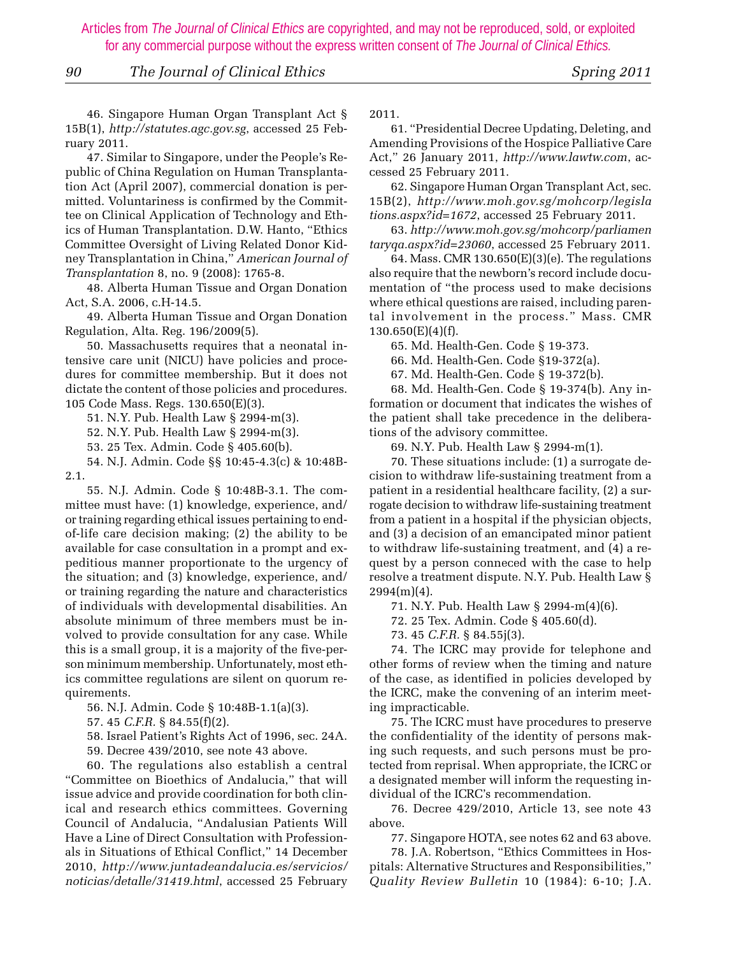#### *90 The Journal of Clinical Ethics Spring 2011*

 46. Singapore Human Organ Transplant Act § 15B(1), *http://statutes.agc.gov.sg*, accessed 25 February 2011.

 47. Similar to Singapore, under the People's Republic of China Regulation on Human Transplantation Act (April 2007), commercial donation is permitted. Voluntariness is confirmed by the Committee on Clinical Application of Technology and Ethics of Human Transplantation. D.W. Hanto, "Ethics Committee Oversight of Living Related Donor Kidney Transplantation in China," *American Journal of Transplantation* 8, no. 9 (2008): 1765-8.

 48. Alberta Human Tissue and Organ Donation Act, S.A. 2006, c.H-14.5.

 49. Alberta Human Tissue and Organ Donation Regulation, Alta. Reg. 196/2009(5).

 50. Massachusetts requires that a neonatal intensive care unit (NICU) have policies and procedures for committee membership. But it does not dictate the content of those policies and procedures. 105 Code Mass. Regs. 130.650(E)(3).

51. N.Y. Pub. Health Law § 2994-m(3).

52. N.Y. Pub. Health Law § 2994-m(3).

53. 25 Tex. Admin. Code § 405.60(b).

 54. N.J. Admin. Code §§ 10:45-4.3(c) & 10:48B-2.1.

 55. N.J. Admin. Code § 10:48B-3.1. The committee must have: (1) knowledge, experience, and/ or training regarding ethical issues pertaining to endof-life care decision making; (2) the ability to be available for case consultation in a prompt and expeditious manner proportionate to the urgency of the situation; and (3) knowledge, experience, and/ or training regarding the nature and characteristics of individuals with developmental disabilities. An absolute minimum of three members must be involved to provide consultation for any case. While this is a small group, it is a majority of the five-person minimum membership. Unfortunately, most ethics committee regulations are silent on quorum requirements.

56. N.J. Admin. Code § 10:48B-1.1(a)(3).

57. 45 *C.F.R.* § 84.55(f)(2).

58. Israel Patient's Rights Act of 1996, sec. 24A.

59. Decree 439/2010, see note 43 above.

 60. The regulations also establish a central "Committee on Bioethics of Andalucia," that will issue advice and provide coordination for both clinical and research ethics committees. Governing Council of Andalucia, "Andalusian Patients Will Have a Line of Direct Consultation with Professionals in Situations of Ethical Conflict," 14 December 2010, *http://www.juntadeandalucia.es/servicios/ noticias/detalle/31419.html*, accessed 25 February

2011.

 61. "Presidential Decree Updating, Deleting, and Amending Provisions of the Hospice Palliative Care Act," 26 January 2011, *http://www.lawtw.com*, accessed 25 February 2011.

 62. Singapore Human Organ Transplant Act, sec. 15B(2), *http://www.moh.gov.sg/mohcorp/legisla tions.aspx?id=1672*, accessed 25 February 2011.

 63. *http://www.moh.gov.sg/mohcorp/parliamen taryqa.aspx?id=23060*, accessed 25 February 2011.

 64. Mass. CMR 130.650(E)(3)(e). The regulations also require that the newborn's record include documentation of "the process used to make decisions where ethical questions are raised, including parental involvement in the process." Mass. CMR  $130.650(E)(4)(f)$ .

65. Md. Health-Gen. Code § 19-373.

66. Md. Health-Gen. Code §19-372(a).

67. Md. Health-Gen. Code § 19-372(b).

 68. Md. Health-Gen. Code § 19-374(b). Any information or document that indicates the wishes of the patient shall take precedence in the deliberations of the advisory committee.

69. N.Y. Pub. Health Law § 2994-m(1).

 70. These situations include: (1) a surrogate decision to withdraw life-sustaining treatment from a patient in a residential healthcare facility, (2) a surrogate decision to withdraw life-sustaining treatment from a patient in a hospital if the physician objects, and (3) a decision of an emancipated minor patient to withdraw life-sustaining treatment, and (4) a request by a person conneced with the case to help resolve a treatment dispute. N.Y. Pub. Health Law §  $2994(m)(4)$ .

71. N.Y. Pub. Health Law § 2994-m(4)(6).

72. 25 Tex. Admin. Code § 405.60(d).

73. 45 *C.F.R.* § 84.55j(3).

 74. The ICRC may provide for telephone and other forms of review when the timing and nature of the case, as identified in policies developed by the ICRC, make the convening of an interim meeting impracticable.

 75. The ICRC must have procedures to preserve the confidentiality of the identity of persons making such requests, and such persons must be protected from reprisal. When appropriate, the ICRC or a designated member will inform the requesting individual of the ICRC's recommendation.

 76. Decree 429/2010, Article 13, see note 43 above.

77. Singapore HOTA, see notes 62 and 63 above.

 78. J.A. Robertson, "Ethics Committees in Hospitals: Alternative Structures and Responsibilities," *Quality Review Bulletin* 10 (1984): 6-10; J.A.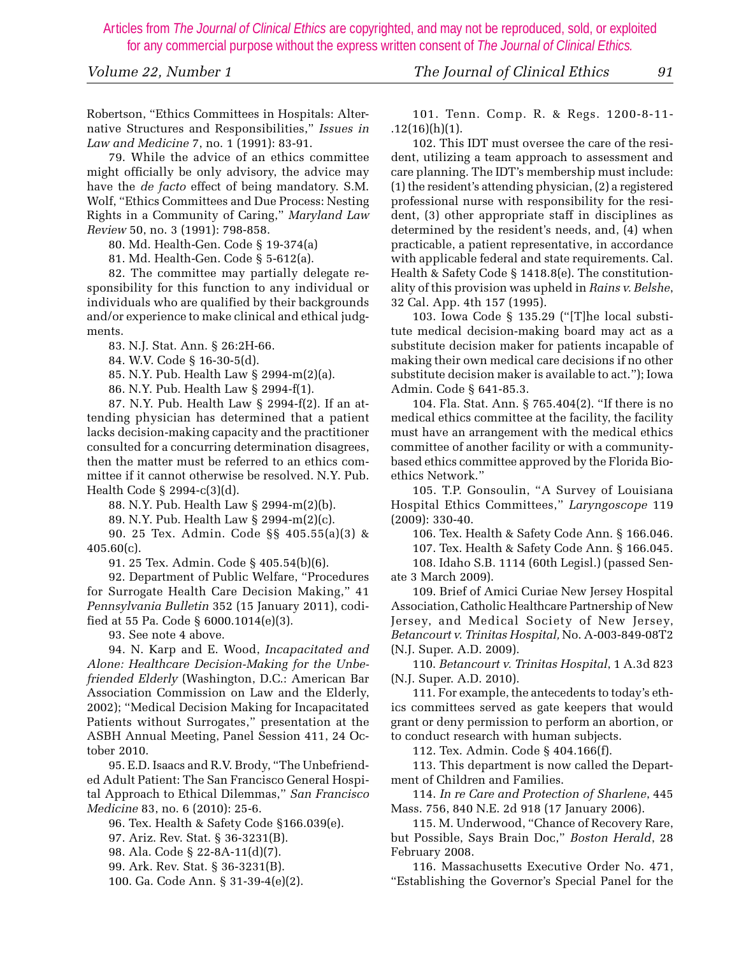Robertson, "Ethics Committees in Hospitals: Alternative Structures and Responsibilities," *Issues in Law and Medicine* 7, no. 1 (1991): 83-91.

 79. While the advice of an ethics committee might officially be only advisory, the advice may have the *de facto* effect of being mandatory. S.M. Wolf, "Ethics Committees and Due Process: Nesting Rights in a Community of Caring," *Maryland Law Review* 50, no. 3 (1991): 798-858.

80. Md. Health-Gen. Code § 19-374(a)

81. Md. Health-Gen. Code § 5-612(a).

 82. The committee may partially delegate responsibility for this function to any individual or individuals who are qualified by their backgrounds and/or experience to make clinical and ethical judgments.

83. N.J. Stat. Ann. § 26:2H-66.

84. W.V. Code § 16-30-5(d).

85. N.Y. Pub. Health Law § 2994-m(2)(a).

86. N.Y. Pub. Health Law § 2994-f(1).

 87. N.Y. Pub. Health Law § 2994-f(2). If an attending physician has determined that a patient lacks decision-making capacity and the practitioner consulted for a concurring determination disagrees, then the matter must be referred to an ethics committee if it cannot otherwise be resolved. N.Y. Pub. Health Code § 2994-c(3)(d).

88. N.Y. Pub. Health Law § 2994-m(2)(b).

89. N.Y. Pub. Health Law § 2994-m(2)(c).

 90. 25 Tex. Admin. Code §§ 405.55(a)(3) & 405.60(c).

91. 25 Tex. Admin. Code § 405.54(b)(6).

 92. Department of Public Welfare, "Procedures for Surrogate Health Care Decision Making," 41 *Pennsylvania Bulletin* 352 (15 January 2011), codified at 55 Pa. Code § 6000.1014(e)(3).

93. See note 4 above.

 94. N. Karp and E. Wood, *Incapacitated and Alone: Healthcare Decision-Making for the Unbefriended Elderly* (Washington, D.C.: American Bar Association Commission on Law and the Elderly, 2002); "Medical Decision Making for Incapacitated Patients without Surrogates," presentation at the ASBH Annual Meeting, Panel Session 411, 24 October 2010.

 95. E.D. Isaacs and R.V. Brody, "The Unbefriended Adult Patient: The San Francisco General Hospital Approach to Ethical Dilemmas," *San Francisco Medicine* 83, no. 6 (2010): 25-6.

96. Tex. Health & Safety Code §166.039(e).

97. Ariz. Rev. Stat. § 36-3231(B).

98. Ala. Code § 22-8A-11(d)(7).

99. Ark. Rev. Stat. § 36-3231(B).

100. Ga. Code Ann. § 31-39-4(e)(2).

 101. Tenn. Comp. R. & Regs. 1200-8-11-  $.12(16)(h)(1)$ .

 102. This IDT must oversee the care of the resident, utilizing a team approach to assessment and care planning. The IDT's membership must include: (1) the resident's attending physician, (2) a registered professional nurse with responsibility for the resident, (3) other appropriate staff in disciplines as determined by the resident's needs, and, (4) when practicable, a patient representative, in accordance with applicable federal and state requirements. Cal. Health & Safety Code § 1418.8(e). The constitutionality of this provision was upheld in *Rains v. Belshe*, 32 Cal. App. 4th 157 (1995).

 103. Iowa Code § 135.29 ("[T]he local substitute medical decision-making board may act as a substitute decision maker for patients incapable of making their own medical care decisions if no other substitute decision maker is available to act."); Iowa Admin. Code § 641-85.3.

 104. Fla. Stat. Ann. § 765.404(2). "If there is no medical ethics committee at the facility, the facility must have an arrangement with the medical ethics committee of another facility or with a communitybased ethics committee approved by the Florida Bioethics Network."

 105. T.P. Gonsoulin, "A Survey of Louisiana Hospital Ethics Committees," *Laryngoscope* 119 (2009): 330-40.

 106. Tex. Health & Safety Code Ann. § 166.046. 107. Tex. Health & Safety Code Ann. § 166.045. 108. Idaho S.B. 1114 (60th Legisl.) (passed Senate 3 March 2009).

 109. Brief of Amici Curiae New Jersey Hospital Association, Catholic Healthcare Partnership of New Jersey, and Medical Society of New Jersey, *Betancourt v. Trinitas Hospital,* No. A-003-849-08T2 (N.J. Super. A.D. 2009).

 110. *Betancourt v. Trinitas Hospital*, 1 A.3d 823 (N.J. Super. A.D. 2010).

 111. For example, the antecedents to today's ethics committees served as gate keepers that would grant or deny permission to perform an abortion, or to conduct research with human subjects.

112. Tex. Admin. Code § 404.166(f).

 113. This department is now called the Department of Children and Families.

 114. *In re Care and Protection of Sharlene*, 445 Mass. 756, 840 N.E. 2d 918 (17 January 2006).

 115. M. Underwood, "Chance of Recovery Rare, but Possible, Says Brain Doc," *Boston Herald*, 28 February 2008.

 116. Massachusetts Executive Order No. 471, "Establishing the Governor's Special Panel for the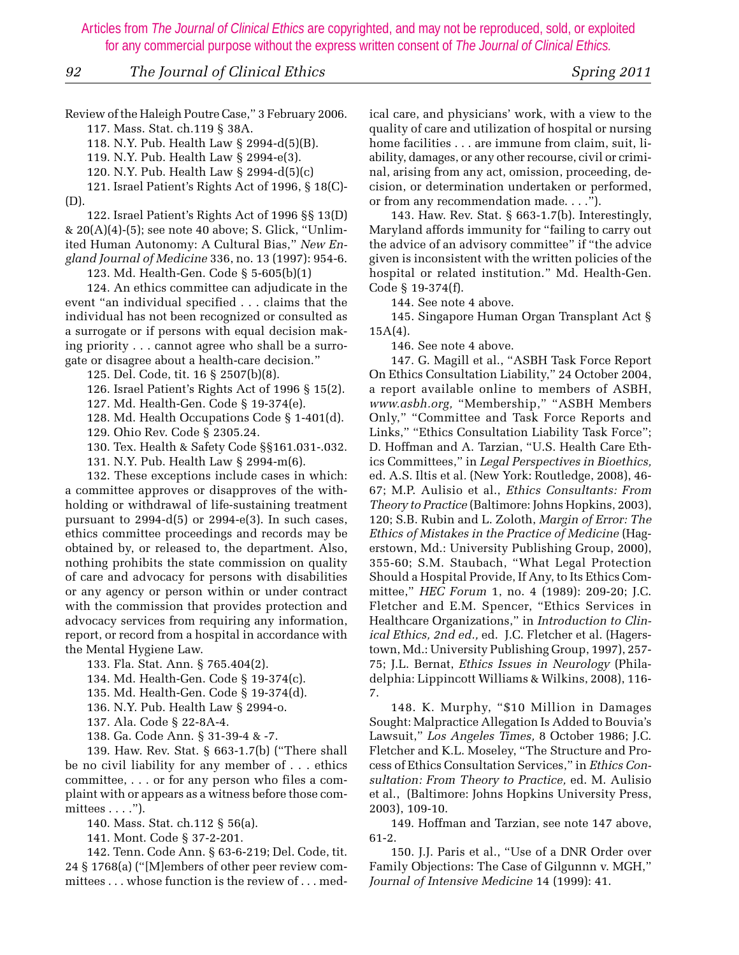*92 The Journal of Clinical Ethics Spring 2011*

Review of the Haleigh Poutre Case," 3 February 2006.

 117. Mass. Stat. ch.119 § 38A. 118. N.Y. Pub. Health Law § 2994-d(5)(B).

119. N.Y. Pub. Health Law § 2994-e(3).

120. N.Y. Pub. Health Law § 2994-d(5)(c)

 121. Israel Patient's Rights Act of 1996, § 18(C)- (D).

 122. Israel Patient's Rights Act of 1996 §§ 13(D) & 20(A)(4)-(5); see note 40 above; S. Glick, "Unlimited Human Autonomy: A Cultural Bias," *New England Journal of Medicine* 336, no. 13 (1997): 954-6.

123. Md. Health-Gen. Code § 5-605(b)(1)

 124. An ethics committee can adjudicate in the event "an individual specified . . . claims that the individual has not been recognized or consulted as a surrogate or if persons with equal decision making priority . . . cannot agree who shall be a surrogate or disagree about a health-care decision."

125. Del. Code, tit. 16 § 2507(b)(8).

126. Israel Patient's Rights Act of 1996 § 15(2).

127. Md. Health-Gen. Code § 19-374(e).

128. Md. Health Occupations Code § 1-401(d).

129. Ohio Rev. Code § 2305.24.

130. Tex. Health & Safety Code §§161.031-.032.

131. N.Y. Pub. Health Law § 2994-m(6).

 132. These exceptions include cases in which: a committee approves or disapproves of the withholding or withdrawal of life-sustaining treatment pursuant to  $2994-d(5)$  or  $2994-e(3)$ . In such cases, ethics committee proceedings and records may be obtained by, or released to, the department. Also, nothing prohibits the state commission on quality of care and advocacy for persons with disabilities or any agency or person within or under contract with the commission that provides protection and advocacy services from requiring any information, report, or record from a hospital in accordance with the Mental Hygiene Law.

133. Fla. Stat. Ann. § 765.404(2).

134. Md. Health-Gen. Code § 19-374(c).

135. Md. Health-Gen. Code § 19-374(d).

136. N.Y. Pub. Health Law § 2994-o.

137. Ala. Code § 22-8A-4.

138. Ga. Code Ann. § 31-39-4 & -7.

 139. Haw. Rev. Stat. § 663-1.7(b) ("There shall be no civil liability for any member of . . . ethics committee, . . . or for any person who files a complaint with or appears as a witness before those committees . . . .").

140. Mass. Stat. ch.112 § 56(a).

141. Mont. Code § 37-2-201.

 142. Tenn. Code Ann. § 63-6-219; Del. Code, tit. 24 § 1768(a) ("[M]embers of other peer review committees . . . whose function is the review of . . . medical care, and physicians' work, with a view to the quality of care and utilization of hospital or nursing home facilities . . . are immune from claim, suit, liability, damages, or any other recourse, civil or criminal, arising from any act, omission, proceeding, decision, or determination undertaken or performed, or from any recommendation made. . . .").

 143. Haw. Rev. Stat. § 663-1.7(b). Interestingly, Maryland affords immunity for "failing to carry out the advice of an advisory committee" if "the advice given is inconsistent with the written policies of the hospital or related institution." Md. Health-Gen. Code § 19-374(f).

144. See note 4 above.

 145. Singapore Human Organ Transplant Act §  $15A(4)$ .

146. See note 4 above.

 147. G. Magill et al., "ASBH Task Force Report On Ethics Consultation Liability," 24 October 2004, a report available online to members of ASBH, *www.asbh.org,* "Membership," "ASBH Members Only," "Committee and Task Force Reports and Links," "Ethics Consultation Liability Task Force"; D. Hoffman and A. Tarzian, "U.S. Health Care Ethics Committees," in *Legal Perspectives in Bioethics,* ed. A.S. Iltis et al*.* (New York: Routledge, 2008), 46- 67; M.P. Aulisio et al., *Ethics Consultants: From Theory to Practice* (Baltimore: Johns Hopkins, 2003), 120; S.B. Rubin and L. Zoloth, *Margin of Error: The Ethics of Mistakes in the Practice of Medicine* (Hagerstown, Md.: University Publishing Group, 2000), 355-60; S.M. Staubach, "What Legal Protection Should a Hospital Provide, If Any, to Its Ethics Committee," *HEC Forum* 1, no. 4 (1989): 209-20; J.C. Fletcher and E.M. Spencer, "Ethics Services in Healthcare Organizations," in *Introduction to Clinical Ethics, 2nd ed.,* ed. J.C. Fletcher et al. (Hagerstown, Md.: University Publishing Group, 1997), 257- 75; J.L. Bernat, *Ethics Issues in Neurology* (Philadelphia: Lippincott Williams & Wilkins, 2008), 116- 7.

 148. K. Murphy, "\$10 Million in Damages Sought: Malpractice Allegation Is Added to Bouvia's Lawsuit," *Los Angeles Times,* 8 October 1986; J.C. Fletcher and K.L. Moseley, "The Structure and Process of Ethics Consultation Services," in *Ethics Consultation: From Theory to Practice,* ed. M. Aulisio et al.,(Baltimore: Johns Hopkins University Press, 2003), 109-10.

 149. Hoffman and Tarzian, see note 147 above, 61-2.

 150. J.J. Paris et al., "Use of a DNR Order over Family Objections: The Case of Gilgunnn v. MGH," *Journal of Intensive Medicine* 14 (1999): 41.